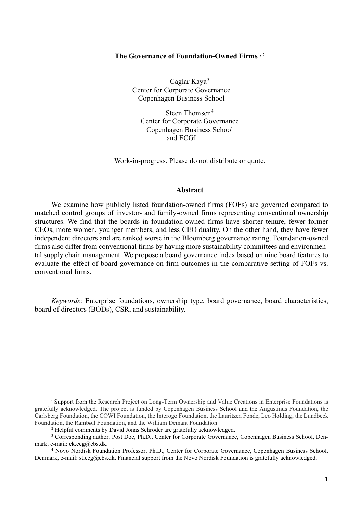### **The Governance of Foundation-Owned Firms**[1](#page-0-0), [2](#page-0-1)

Caglar Kaya[3](#page-0-2) Center for Corporate Governance Copenhagen Business School

Steen Thomsen<sup>[4](#page-0-3)</sup> Center for Corporate Governance Copenhagen Business School and ECGI

Work-in-progress. Please do not distribute or quote.

#### **Abstract**

We examine how publicly listed foundation-owned firms (FOFs) are governed compared to matched control groups of investor- and family-owned firms representing conventional ownership structures. We find that the boards in foundation-owned firms have shorter tenure, fewer former CEOs, more women, younger members, and less CEO duality. On the other hand, they have fewer independent directors and are ranked worse in the Bloomberg governance rating. Foundation-owned firms also differ from conventional firms by having more sustainability committees and environmental supply chain management. We propose a board governance index based on nine board features to evaluate the effect of board governance on firm outcomes in the comparative setting of FOFs vs. conventional firms.

*Keywords*: Enterprise foundations, ownership type, board governance, board characteristics, board of directors (BODs), CSR, and sustainability.

<span id="page-0-0"></span><sup>1</sup> Support from the Research Project on Long-Term Ownership and Value Creations in Enterprise Foundations is gratefully acknowledged. The project is funded by Copenhagen Business School and the Augustinus Foundation, the Carlsberg Foundation, the COWI Foundation, the Interogo Foundation, the Lauritzen Fonde, Leo Holding, the Lundbeck Foundation, the Rambøll Foundation, and the William Demant Foundation.

<sup>2</sup> Helpful comments by David Jonas Schröder are gratefully acknowledged.

<span id="page-0-2"></span><span id="page-0-1"></span><sup>&</sup>lt;sup>3</sup> Corresponding author. Post Doc, Ph.D., Center for Corporate Governance, Copenhagen Business School, Denmark, e-mail: ck.ccg@cbs.dk.

<span id="page-0-3"></span>**<sup>4</sup>** Novo Nordisk Foundation Professor, Ph.D., Center for Corporate Governance, Copenhagen Business School, Denmark, e-mail: st.ccg@cbs.dk. Financial support from the Novo Nordisk Foundation is gratefully acknowledged.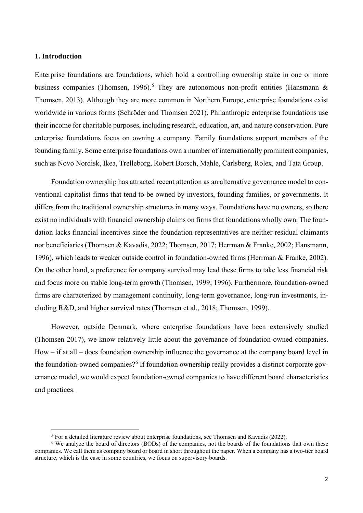### **1. Introduction**

Enterprise foundations are foundations, which hold a controlling ownership stake in one or more business companies (Thomsen, 1996).<sup>[5](#page-1-0)</sup> They are autonomous non-profit entities (Hansmann & Thomsen, 2013). Although they are more common in Northern Europe, enterprise foundations exist worldwide in various forms (Schröder and Thomsen 2021). Philanthropic enterprise foundations use their income for charitable purposes, including research, education, art, and nature conservation. Pure enterprise foundations focus on owning a company. Family foundations support members of the founding family. Some enterprise foundations own a number of internationally prominent companies, such as Novo Nordisk, Ikea, Trelleborg, Robert Borsch, Mahle, Carlsberg, Rolex, and Tata Group.

Foundation ownership has attracted recent attention as an alternative governance model to conventional capitalist firms that tend to be owned by investors, founding families, or governments. It differs from the traditional ownership structures in many ways. Foundations have no owners, so there exist no individuals with financial ownership claims on firms that foundations wholly own. The foundation lacks financial incentives since the foundation representatives are neither residual claimants nor beneficiaries (Thomsen & Kavadis, 2022; Thomsen, 2017; Herrman & Franke, 2002; Hansmann, 1996), which leads to weaker outside control in foundation-owned firms (Herrman & Franke, 2002). On the other hand, a preference for company survival may lead these firms to take less financial risk and focus more on stable long-term growth (Thomsen, 1999; 1996). Furthermore, foundation-owned firms are characterized by management continuity, long-term governance, long-run investments, including R&D, and higher survival rates (Thomsen et al., 2018; Thomsen, 1999).

However, outside Denmark, where enterprise foundations have been extensively studied (Thomsen 2017), we know relatively little about the governance of foundation-owned companies. How – if at all – does foundation ownership influence the governance at the company board level in the foundation-owned companies?<sup>[6](#page-1-1)</sup> If foundation ownership really provides a distinct corporate governance model, we would expect foundation-owned companies to have different board characteristics and practices.

<sup>5</sup> For a detailed literature review about enterprise foundations, see Thomsen and Kavadis (2022).

<span id="page-1-1"></span><span id="page-1-0"></span><sup>&</sup>lt;sup>6</sup> We analyze the board of directors (BODs) of the companies, not the boards of the foundations that own these companies. We call them as company board or board in short throughout the paper. When a company has a two-tier board structure, which is the case in some countries, we focus on supervisory boards.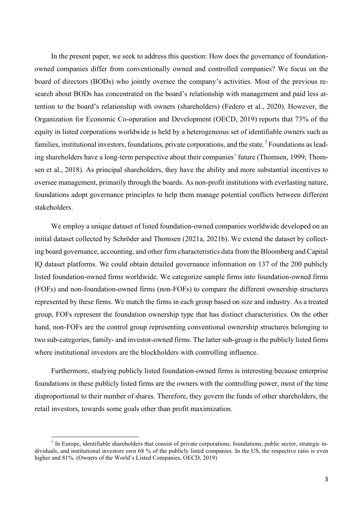In the present paper, we seek to address this question: How does the governance of foundationowned companies differ from conventionally owned and controlled companies? We focus on the board of directors (BODs) who jointly oversee the company's activities. Most of the previous research about BODs has concentrated on the board's relationship with management and paid less attention to the board's relationship with owners (shareholders) (Federo et al., 2020). However, the Organization for Economic Co-operation and Development (OECD, 2019) reports that 73% of the equity in listed corporations worldwide is held by a heterogeneous set of identifiable owners such as families, institutional investors, foundations, private corporations, and the state.<sup>[7](#page-2-0)</sup> Foundations as leading shareholders have a long-term perspective about their companies' future (Thomsen, 1999; Thomsen et al., 2018). As principal shareholders, they have the ability and more substantial incentives to oversee management, primarily through the boards. As non-profit institutions with everlasting nature, foundations adopt governance principles to help them manage potential conflicts between different stakeholders.

We employ a unique dataset of listed foundation-owned companies worldwide developed on an initial dataset collected by Schröder and Thomsen (2021a, 2021b). We extend the dataset by collecting board governance, accounting, and other firm characteristics data from the Bloomberg and Capital IQ dataset platforms. We could obtain detailed governance information on 137 of the 200 publicly listed foundation-owned firms worldwide. We categorize sample firms into foundation-owned firms (FOFs) and non-foundation-owned firms (non-FOFs) to compare the different ownership structures represented by these firms. We match the firms in each group based on size and industry. As a treated group, FOFs represent the foundation ownership type that has distinct characteristics. On the other hand, non-FOFs are the control group representing conventional ownership structures belonging to two sub-categories, family- and investor-owned firms. The latter sub-group is the publicly listed firms where institutional investors are the blockholders with controlling influence.

Furthermore, studying publicly listed foundation-owned firms is interesting because enterprise foundations in these publicly listed firms are the owners with the controlling power, most of the time disproportional to their number of shares. Therefore, they govern the funds of other shareholders, the retail investors, towards some goals other than profit maximization.

<span id="page-2-0"></span> $<sup>7</sup>$  In Europe, identifiable shareholders that consist of private corporations, foundations, public sector, strategic in-</sup> dividuals, and institutional investors own 68 % of the publicly listed companies. In the US, the respective ratio is even higher and 81%. (Owners of the World's Listed Companies, OECD, 2019)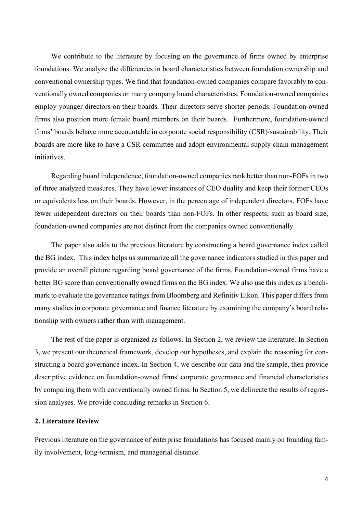We contribute to the literature by focusing on the governance of firms owned by enterprise foundations. We analyze the differences in board characteristics between foundation ownership and conventional ownership types. We find that foundation-owned companies compare favorably to conventionally owned companies on many company board characteristics. Foundation-owned companies employ younger directors on their boards. Their directors serve shorter periods. Foundation-owned firms also position more female board members on their boards. Furthermore, foundation-owned firms' boards behave more accountable in corporate social responsibility (CSR)/sustainability. Their boards are more like to have a CSR committee and adopt environmental supply chain management initiatives.

Regarding board independence, foundation-owned companies rank better than non-FOFs in two of three analyzed measures. They have lower instances of CEO duality and keep their former CEOs or equivalents less on their boards. However, in the percentage of independent directors, FOFs have fewer independent directors on their boards than non-FOFs. In other respects, such as board size, foundation-owned companies are not distinct from the companies owned conventionally.

The paper also adds to the previous literature by constructing a board governance index called the BG index. This index helps us summarize all the governance indicators studied in this paper and provide an overall picture regarding board governance of the firms. Foundation-owned firms have a better BG score than conventionally owned firms on the BG index. We also use this index as a benchmark to evaluate the governance ratings from Bloomberg and Refinitiv Eikon. This paper differs from many studies in corporate governance and finance literature by examining the company's board relationship with owners rather than with management.

The rest of the paper is organized as follows. In Section 2, we review the literature. In Section 3, we present our theoretical framework, develop our hypotheses, and explain the reasoning for constructing a board governance index. In Section 4, we describe our data and the sample, then provide descriptive evidence on foundation-owned firms' corporate governance and financial characteristics by comparing them with conventionally owned firms. In Section 5, we delineate the results of regression analyses. We provide concluding remarks in Section 6.

### **2. Literature Review**

Previous literature on the governance of enterprise foundations has focused mainly on founding family involvement, long-termism, and managerial distance.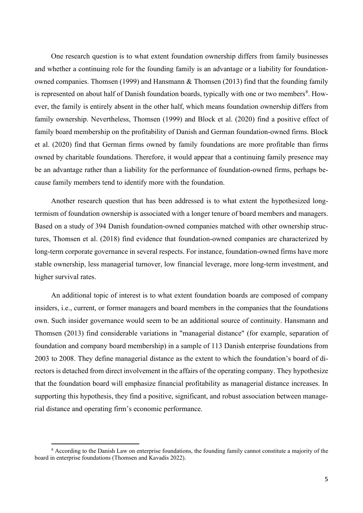One research question is to what extent foundation ownership differs from family businesses and whether a continuing role for the founding family is an advantage or a liability for foundationowned companies. Thomsen (1999) and Hansmann & Thomsen (2013) find that the founding family is represented on about half of Danish foundation boards, typically with one or two members<sup>[8](#page-4-0)</sup>. However, the family is entirely absent in the other half, which means foundation ownership differs from family ownership. Nevertheless, Thomsen (1999) and Block et al. (2020) find a positive effect of family board membership on the profitability of Danish and German foundation-owned firms. Block et al. (2020) find that German firms owned by family foundations are more profitable than firms owned by charitable foundations. Therefore, it would appear that a continuing family presence may be an advantage rather than a liability for the performance of foundation-owned firms, perhaps because family members tend to identify more with the foundation.

Another research question that has been addressed is to what extent the hypothesized longtermism of foundation ownership is associated with a longer tenure of board members and managers. Based on a study of 394 Danish foundation-owned companies matched with other ownership structures, Thomsen et al. (2018) find evidence that foundation-owned companies are characterized by long-term corporate governance in several respects. For instance, foundation-owned firms have more stable ownership, less managerial turnover, low financial leverage, more long-term investment, and higher survival rates.

An additional topic of interest is to what extent foundation boards are composed of company insiders, i.e., current, or former managers and board members in the companies that the foundations own. Such insider governance would seem to be an additional source of continuity. Hansmann and Thomsen (2013) find considerable variations in "managerial distance" (for example, separation of foundation and company board membership) in a sample of 113 Danish enterprise foundations from 2003 to 2008. They define managerial distance as the extent to which the foundation's board of directors is detached from direct involvement in the affairs of the operating company. They hypothesize that the foundation board will emphasize financial profitability as managerial distance increases. In supporting this hypothesis, they find a positive, significant, and robust association between managerial distance and operating firm's economic performance.

<span id="page-4-0"></span><sup>8</sup> According to the Danish Law on enterprise foundations, the founding family cannot constitute a majority of the board in enterprise foundations (Thomsen and Kavadis 2022).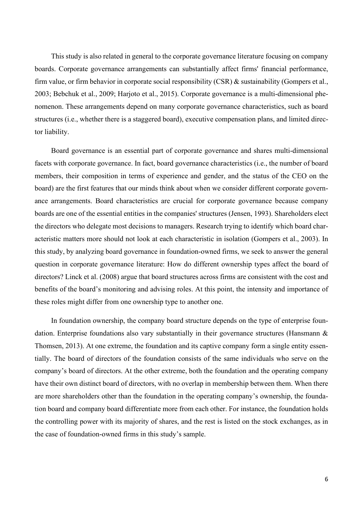This study is also related in general to the corporate governance literature focusing on company boards. Corporate governance arrangements can substantially affect firms' financial performance, firm value, or firm behavior in corporate social responsibility (CSR) & sustainability (Gompers et al., 2003; Bebchuk et al., 2009; Harjoto et al., 2015). Corporate governance is a multi-dimensional phenomenon. These arrangements depend on many corporate governance characteristics, such as board structures (i.e., whether there is a staggered board), executive compensation plans, and limited director liability.

Board governance is an essential part of corporate governance and shares multi-dimensional facets with corporate governance. In fact, board governance characteristics (i.e., the number of board members, their composition in terms of experience and gender, and the status of the CEO on the board) are the first features that our minds think about when we consider different corporate governance arrangements. Board characteristics are crucial for corporate governance because company boards are one of the essential entities in the companies' structures (Jensen, 1993). Shareholders elect the directors who delegate most decisions to managers. Research trying to identify which board characteristic matters more should not look at each characteristic in isolation (Gompers et al., 2003). In this study, by analyzing board governance in foundation-owned firms, we seek to answer the general question in corporate governance literature: How do different ownership types affect the board of directors? Linck et al. (2008) argue that board structures across firms are consistent with the cost and benefits of the board's monitoring and advising roles. At this point, the intensity and importance of these roles might differ from one ownership type to another one.

In foundation ownership, the company board structure depends on the type of enterprise foundation. Enterprise foundations also vary substantially in their governance structures (Hansmann & Thomsen, 2013). At one extreme, the foundation and its captive company form a single entity essentially. The board of directors of the foundation consists of the same individuals who serve on the company's board of directors. At the other extreme, both the foundation and the operating company have their own distinct board of directors, with no overlap in membership between them. When there are more shareholders other than the foundation in the operating company's ownership, the foundation board and company board differentiate more from each other. For instance, the foundation holds the controlling power with its majority of shares, and the rest is listed on the stock exchanges, as in the case of foundation-owned firms in this study's sample.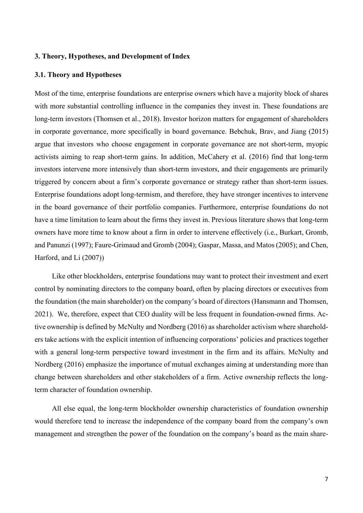### **3. Theory, Hypotheses, and Development of Index**

### **3.1. Theory and Hypotheses**

Most of the time, enterprise foundations are enterprise owners which have a majority block of shares with more substantial controlling influence in the companies they invest in. These foundations are long-term investors (Thomsen et al., 2018). Investor horizon matters for engagement of shareholders in corporate governance, more specifically in board governance. Bebchuk, Brav, and Jiang (2015) argue that investors who choose engagement in corporate governance are not short-term, myopic activists aiming to reap short-term gains. In addition, McCahery et al. (2016) find that long-term investors intervene more intensively than short-term investors, and their engagements are primarily triggered by concern about a firm's corporate governance or strategy rather than short-term issues. Enterprise foundations adopt long-termism, and therefore, they have stronger incentives to intervene in the board governance of their portfolio companies. Furthermore, enterprise foundations do not have a time limitation to learn about the firms they invest in. Previous literature shows that long-term owners have more time to know about a firm in order to intervene effectively (i.e., Burkart, Gromb, and Panunzi (1997); Faure-Grimaud and Gromb (2004); Gaspar, Massa, and Matos (2005); and Chen, Harford, and Li (2007))

Like other blockholders, enterprise foundations may want to protect their investment and exert control by nominating directors to the company board, often by placing directors or executives from the foundation (the main shareholder) on the company's board of directors (Hansmann and Thomsen, 2021). We, therefore, expect that CEO duality will be less frequent in foundation-owned firms. Active ownership is defined by McNulty and Nordberg (2016) as shareholder activism where shareholders take actions with the explicit intention of influencing corporations' policies and practices together with a general long-term perspective toward investment in the firm and its affairs. McNulty and Nordberg (2016) emphasize the importance of mutual exchanges aiming at understanding more than change between shareholders and other stakeholders of a firm. Active ownership reflects the longterm character of foundation ownership.

All else equal, the long-term blockholder ownership characteristics of foundation ownership would therefore tend to increase the independence of the company board from the company's own management and strengthen the power of the foundation on the company's board as the main share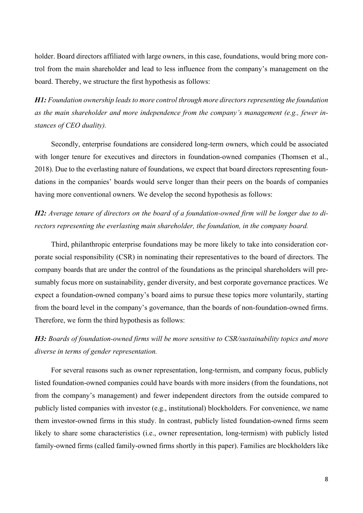holder. Board directors affiliated with large owners, in this case, foundations, would bring more control from the main shareholder and lead to less influence from the company's management on the board. Thereby, we structure the first hypothesis as follows:

*H1: Foundation ownership leads to more control through more directors representing the foundation as the main shareholder and more independence from the company's management (e.g., fewer instances of CEO duality).*

Secondly, enterprise foundations are considered long-term owners, which could be associated with longer tenure for executives and directors in foundation-owned companies (Thomsen et al., 2018). Due to the everlasting nature of foundations, we expect that board directors representing foundations in the companies' boards would serve longer than their peers on the boards of companies having more conventional owners. We develop the second hypothesis as follows:

*H2: Average tenure of directors on the board of a foundation-owned firm will be longer due to directors representing the everlasting main shareholder, the foundation, in the company board.*

Third, philanthropic enterprise foundations may be more likely to take into consideration corporate social responsibility (CSR) in nominating their representatives to the board of directors. The company boards that are under the control of the foundations as the principal shareholders will presumably focus more on sustainability, gender diversity, and best corporate governance practices. We expect a foundation-owned company's board aims to pursue these topics more voluntarily, starting from the board level in the company's governance, than the boards of non-foundation-owned firms. Therefore, we form the third hypothesis as follows:

*H3: Boards of foundation-owned firms will be more sensitive to CSR/sustainability topics and more diverse in terms of gender representation.* 

For several reasons such as owner representation, long-termism, and company focus, publicly listed foundation-owned companies could have boards with more insiders (from the foundations, not from the company's management) and fewer independent directors from the outside compared to publicly listed companies with investor (e.g., institutional) blockholders. For convenience, we name them investor-owned firms in this study. In contrast, publicly listed foundation-owned firms seem likely to share some characteristics (i.e., owner representation, long-termism) with publicly listed family-owned firms (called family-owned firms shortly in this paper). Families are blockholders like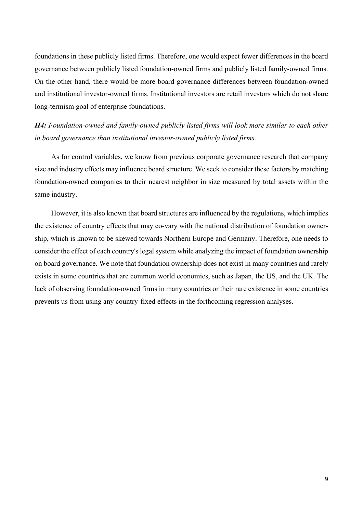foundations in these publicly listed firms. Therefore, one would expect fewer differences in the board governance between publicly listed foundation-owned firms and publicly listed family-owned firms. On the other hand, there would be more board governance differences between foundation-owned and institutional investor-owned firms. Institutional investors are retail investors which do not share long-termism goal of enterprise foundations.

## *H4: Foundation-owned and family-owned publicly listed firms will look more similar to each other in board governance than institutional investor-owned publicly listed firms.*

As for control variables, we know from previous corporate governance research that company size and industry effects may influence board structure. We seek to consider these factors by matching foundation-owned companies to their nearest neighbor in size measured by total assets within the same industry.

However, it is also known that board structures are influenced by the regulations, which implies the existence of country effects that may co-vary with the national distribution of foundation ownership, which is known to be skewed towards Northern Europe and Germany. Therefore, one needs to consider the effect of each country's legal system while analyzing the impact of foundation ownership on board governance. We note that foundation ownership does not exist in many countries and rarely exists in some countries that are common world economies, such as Japan, the US, and the UK. The lack of observing foundation-owned firms in many countries or their rare existence in some countries prevents us from using any country-fixed effects in the forthcoming regression analyses.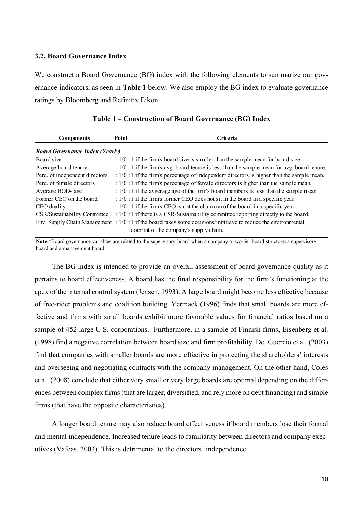### **3.2. Board Governance Index**

We construct a Board Governance (BG) index with the following elements to summarize our governance indicators, as seen in **Table 1** below. We also employ the BG index to evaluate governance ratings by Bloomberg and Refinitiv Eikon.

| <b>Components</b>                      | <b>Point</b> | Criteria                                                                                                        |
|----------------------------------------|--------------|-----------------------------------------------------------------------------------------------------------------|
| <b>Board Governance Index (Yearly)</b> |              |                                                                                                                 |
| Board size                             |              | $: 1/0:1$ if the firm's board size is smaller than the sample mean for board size.                              |
| Average board tenure                   |              | : $1/0$ : 1 if the firm's avg. board tenure is less than the sample mean for avg. board tenure.                 |
| Perc. of independent directors         |              | : 1/0 :1 if the firm's percentage of independent directors is higher than the sample mean.                      |
| Perc. of female directors              |              | $: 1/0:1$ if the firm's percentage of female directors is higher than the sample mean.                          |
| Average BODs age                       |              | $: 1/0:1$ if the avgerage age of the firm's board members is less than the sample mean.                         |
| Former CEO on the board                |              | $: 1/0:1$ if the firm's former CEO does not sit in the board in a specific year.                                |
| CEO duality                            |              | $: 1/0:1$ if the firm's CEO is not the chairman of the board in a specific year.                                |
| CSR/Sustainability Committee           |              | : 1/0 :1 if there is a CSR/Sustainability committee reporting directly to the board.                            |
|                                        |              | Env. Supply Chain Management $: 1/0:1$ if the board takes some decisions/inititiave to reduce the environmental |
|                                        |              | footprint of the company's supply chain.                                                                        |

|  | Table 1 – Construction of Board Governance (BG) Index |  |  |  |  |
|--|-------------------------------------------------------|--|--|--|--|
|--|-------------------------------------------------------|--|--|--|--|

**Note:**\*Board governance variables are related to the supervisory board when a company a two-tier board structure: a supervisory board and a management board

The BG index is intended to provide an overall assessment of board governance quality as it pertains to board effectiveness. A board has the final responsibility for the firm's functioning at the apex of the internal control system (Jensen, 1993). A large board might become less effective because of free-rider problems and coalition building. Yermack (1996) finds that small boards are more effective and firms with small boards exhibit more favorable values for financial ratios based on a sample of 452 large U.S. corporations. Furthermore, in a sample of Finnish firms, Eisenberg et al. (1998) find a negative correlation between board size and firm profitability. Del Guercio et al. (2003) find that companies with smaller boards are more effective in protecting the shareholders' interests and overseeing and negotiating contracts with the company management. On the other hand, Coles et al. (2008) conclude that either very small or very large boards are optimal depending on the differences between complex firms(that are larger, diversified, and rely more on debt financing) and simple firms (that have the opposite characteristics).

A longer board tenure may also reduce board effectiveness if board members lose their formal and mental independence. Increased tenure leads to familiarity between directors and company executives (Vafeas, 2003). This is detrimental to the directors' independence.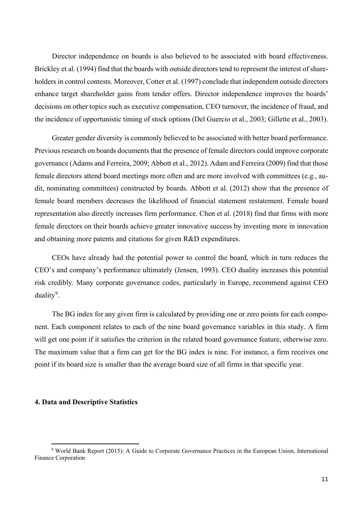Director independence on boards is also believed to be associated with board effectiveness. Brickley et al. (1994) find that the boards with outside directors tend to represent the interest of shareholders in control contests. Moreover, Cotter et al. (1997) conclude that independent outside directors enhance target shareholder gains from tender offers. Director independence improves the boards' decisions on other topics such as executive compensation, CEO turnover, the incidence of fraud, and the incidence of opportunistic timing of stock options (Del Guercio et al., 2003; Gillette et al., 2003).

Greater gender diversity is commonly believed to be associated with better board performance. Previous research on boards documents that the presence of female directors could improve corporate governance (Adams and Ferreira, 2009; Abbott et al., 2012). Adam and Ferreira (2009) find that those female directors attend board meetings more often and are more involved with committees (e.g., audit, nominating committees) constructed by boards. Abbott et al. (2012) show that the presence of female board members decreases the likelihood of financial statement restatement. Female board representation also directly increases firm performance. Chen et al. (2018) find that firms with more female directors on their boards achieve greater innovative success by investing more in innovation and obtaining more patents and citations for given R&D expenditures.

CEOs have already had the potential power to control the board, which in turn reduces the CEO's and company's performance ultimately (Jensen, 1993). CEO duality increases this potential risk credibly. Many corporate governance codes, particularly in Europe, recommend against CEO duality<sup>[9](#page-10-0)</sup>.

The BG index for any given firm is calculated by providing one or zero points for each component. Each component relates to each of the nine board governance variables in this study. A firm will get one point if it satisfies the criterion in the related board governance feature, otherwise zero. The maximum value that a firm can get for the BG index is nine. For instance, a firm receives one point if its board size is smaller than the average board size of all firms in that specific year.

#### **4. Data and Descriptive Statistics**

<span id="page-10-0"></span><sup>9</sup> World Bank Report (2015): A Guide to Corporate Governance Practices in the European Union, International Finance Corporation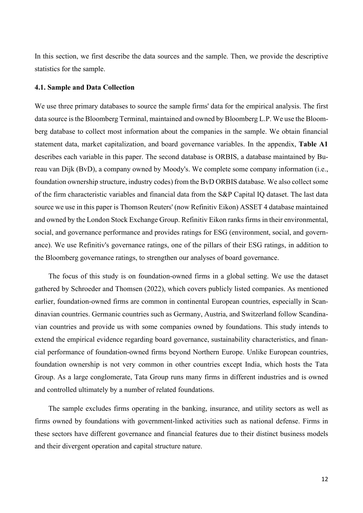In this section, we first describe the data sources and the sample. Then, we provide the descriptive statistics for the sample.

### **4.1. Sample and Data Collection**

We use three primary databases to source the sample firms' data for the empirical analysis. The first data source is the Bloomberg Terminal, maintained and owned by Bloomberg L.P. We use the Bloomberg database to collect most information about the companies in the sample. We obtain financial statement data, market capitalization, and board governance variables. In the appendix, **Table A1** describes each variable in this paper. The second database is ORBIS, a database maintained by Bureau van Dijk (BvD), a company owned by Moody's. We complete some company information (i.e., foundation ownership structure, industry codes) from the BvD ORBIS database. We also collect some of the firm characteristic variables and financial data from the S&P Capital IQ dataset. The last data source we use in this paper is Thomson Reuters' (now Refinitiv Eikon) ASSET 4 database maintained and owned by the London Stock Exchange Group. Refinitiv Eikon ranks firms in their environmental, social, and governance performance and provides ratings for ESG (environment, social, and governance). We use Refinitiv's governance ratings, one of the pillars of their ESG ratings, in addition to the Bloomberg governance ratings, to strengthen our analyses of board governance.

The focus of this study is on foundation-owned firms in a global setting. We use the dataset gathered by Schroeder and Thomsen (2022), which covers publicly listed companies. As mentioned earlier, foundation-owned firms are common in continental European countries, especially in Scandinavian countries. Germanic countries such as Germany, Austria, and Switzerland follow Scandinavian countries and provide us with some companies owned by foundations. This study intends to extend the empirical evidence regarding board governance, sustainability characteristics, and financial performance of foundation-owned firms beyond Northern Europe. Unlike European countries, foundation ownership is not very common in other countries except India, which hosts the Tata Group. As a large conglomerate, Tata Group runs many firms in different industries and is owned and controlled ultimately by a number of related foundations.

The sample excludes firms operating in the banking, insurance, and utility sectors as well as firms owned by foundations with government-linked activities such as national defense. Firms in these sectors have different governance and financial features due to their distinct business models and their divergent operation and capital structure nature.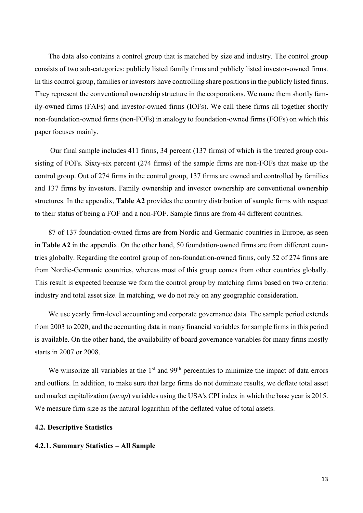The data also contains a control group that is matched by size and industry. The control group consists of two sub-categories: publicly listed family firms and publicly listed investor-owned firms. In this control group, families or investors have controlling share positions in the publicly listed firms. They represent the conventional ownership structure in the corporations. We name them shortly family-owned firms (FAFs) and investor-owned firms (IOFs). We call these firms all together shortly non-foundation-owned firms (non-FOFs) in analogy to foundation-owned firms (FOFs) on which this paper focuses mainly.

Our final sample includes 411 firms, 34 percent (137 firms) of which is the treated group consisting of FOFs. Sixty-six percent (274 firms) of the sample firms are non-FOFs that make up the control group. Out of 274 firms in the control group, 137 firms are owned and controlled by families and 137 firms by investors. Family ownership and investor ownership are conventional ownership structures. In the appendix, **Table A2** provides the country distribution of sample firms with respect to their status of being a FOF and a non-FOF. Sample firms are from 44 different countries.

87 of 137 foundation-owned firms are from Nordic and Germanic countries in Europe, as seen in **Table A2** in the appendix. On the other hand, 50 foundation-owned firms are from different countries globally. Regarding the control group of non-foundation-owned firms, only 52 of 274 firms are from Nordic-Germanic countries, whereas most of this group comes from other countries globally. This result is expected because we form the control group by matching firms based on two criteria: industry and total asset size. In matching, we do not rely on any geographic consideration.

We use yearly firm-level accounting and corporate governance data. The sample period extends from 2003 to 2020, and the accounting data in many financial variables for sample firms in this period is available. On the other hand, the availability of board governance variables for many firms mostly starts in 2007 or 2008.

We winsorize all variables at the 1<sup>st</sup> and 99<sup>th</sup> percentiles to minimize the impact of data errors and outliers. In addition, to make sure that large firms do not dominate results, we deflate total asset and market capitalization (*mcap*) variables using the USA's CPI index in which the base year is 2015. We measure firm size as the natural logarithm of the deflated value of total assets.

#### **4.2. Descriptive Statistics**

### **4.2.1. Summary Statistics – All Sample**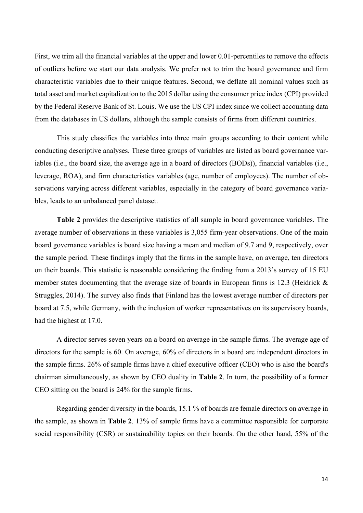First, we trim all the financial variables at the upper and lower 0.01-percentiles to remove the effects of outliers before we start our data analysis. We prefer not to trim the board governance and firm characteristic variables due to their unique features. Second, we deflate all nominal values such as total asset and market capitalization to the 2015 dollar using the consumer price index (CPI) provided by the Federal Reserve Bank of St. Louis. We use the US CPI index since we collect accounting data from the databases in US dollars, although the sample consists of firms from different countries.

This study classifies the variables into three main groups according to their content while conducting descriptive analyses. These three groups of variables are listed as board governance variables (i.e., the board size, the average age in a board of directors (BODs)), financial variables (i.e., leverage, ROA), and firm characteristics variables (age, number of employees). The number of observations varying across different variables, especially in the category of board governance variables, leads to an unbalanced panel dataset.

**Table 2** provides the descriptive statistics of all sample in board governance variables. The average number of observations in these variables is 3,055 firm-year observations. One of the main board governance variables is board size having a mean and median of 9.7 and 9, respectively, over the sample period. These findings imply that the firms in the sample have, on average, ten directors on their boards. This statistic is reasonable considering the finding from a 2013's survey of 15 EU member states documenting that the average size of boards in European firms is 12.3 (Heidrick & Struggles, 2014). The survey also finds that Finland has the lowest average number of directors per board at 7.5, while Germany, with the inclusion of worker representatives on its supervisory boards, had the highest at 17.0.

A director serves seven years on a board on average in the sample firms. The average age of directors for the sample is 60. On average, 60% of directors in a board are independent directors in the sample firms. 26% of sample firms have a chief executive officer (CEO) who is also the board's chairman simultaneously, as shown by CEO duality in **Table 2**. In turn, the possibility of a former CEO sitting on the board is 24% for the sample firms.

Regarding gender diversity in the boards, 15.1 % of boards are female directors on average in the sample, as shown in **Table 2**. 13% of sample firms have a committee responsible for corporate social responsibility (CSR) or sustainability topics on their boards. On the other hand, 55% of the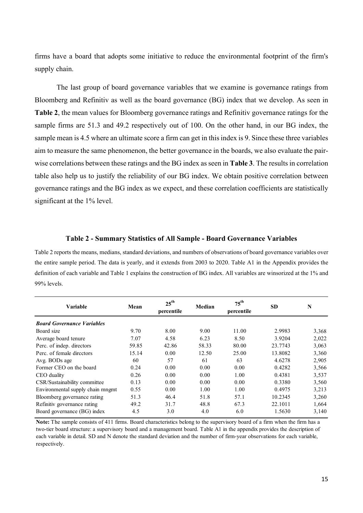firms have a board that adopts some initiative to reduce the environmental footprint of the firm's supply chain.

The last group of board governance variables that we examine is governance ratings from Bloomberg and Refinitiv as well as the board governance (BG) index that we develop. As seen in **Table 2**, the mean values for Bloomberg governance ratings and Refinitiv governance ratings for the sample firms are 51.3 and 49.2 respectively out of 100. On the other hand, in our BG index, the sample mean is 4.5 where an ultimate score a firm can get in this index is 9. Since these three variables aim to measure the same phenomenon, the better governance in the boards, we also evaluate the pairwise correlations between these ratings and the BG index as seen in **Table 3**. The results in correlation table also help us to justify the reliability of our BG index. We obtain positive correlation between governance ratings and the BG index as we expect, and these correlation coefficients are statistically significant at the 1% level.

#### **Table 2 - Summary Statistics of All Sample - Board Governance Variables**

Table 2 reports the means, medians, standard deviations, and numbers of observations of board governance variables over the entire sample period. The data is yearly, and it extends from 2003 to 2020. Table A1 in the Appendix provides the definition of each variable and Table 1 explains the construction of BG index. All variables are winsorized at the 1% and 99% levels.

| <b>Variable</b>                   | Mean  | $25^{\text{th}}$<br>percentile | Median | $75^{\text{th}}$<br>percentile | <b>SD</b> | N     |
|-----------------------------------|-------|--------------------------------|--------|--------------------------------|-----------|-------|
| <b>Board Governance Variables</b> |       |                                |        |                                |           |       |
| Board size                        | 9.70  | 8.00                           | 9.00   | 11.00                          | 2.9983    | 3,368 |
| Average board tenure              | 7.07  | 4.58                           | 6.23   | 8.50                           | 3.9204    | 2,022 |
| Perc. of indep. directors         | 59.85 | 42.86                          | 58.33  | 80.00                          | 23.7743   | 3,063 |
| Perc. of female directors         | 15.14 | 0.00                           | 12.50  | 25.00                          | 13.8082   | 3,360 |
| Avg. BODs age                     | 60    | 57                             | 61     | 63                             | 4.6278    | 2,905 |
| Former CEO on the board           | 0.24  | 0.00                           | 0.00   | 0.00                           | 0.4282    | 3,566 |
| CEO duality                       | 0.26  | 0.00                           | 0.00   | 1.00                           | 0.4381    | 3,537 |
| CSR/Sustainability committee      | 0.13  | 0.00                           | 0.00   | 0.00                           | 0.3380    | 3,560 |
| Environmental supply chain mngmt  | 0.55  | 0.00                           | 1.00   | 1.00                           | 0.4975    | 3,213 |
| Bloomberg governance rating       | 51.3  | 46.4                           | 51.8   | 57.1                           | 10.2345   | 3,260 |
| Refinitiv governance rating       | 49.2  | 31.7                           | 48.8   | 67.3                           | 22.1011   | 1,664 |
| Board governance (BG) index       | 4.5   | 3.0                            | 4.0    | 6.0                            | 1.5630    | 3,140 |

**Note:** The sample consists of 411 firms. Board characteristics belong to the supervisory board of a firm when the firm has a two-tier board structure: a supervisory board and a management board. Table A1 in the appendix provides the description of each variable in detail. SD and N denote the standard deviation and the number of firm-year observations for each variable, respectively.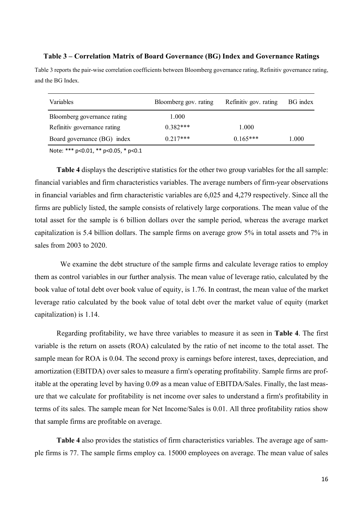### **Table 3 – Correlation Matrix of Board Governance (BG) Index and Governance Ratings**

Table 3 reports the pair-wise correlation coefficients between Bloomberg governance rating, Refinitiv governance rating, and the BG Index.

| Variables                   | Bloomberg gov. rating | Refinitiv gov. rating | BG index |
|-----------------------------|-----------------------|-----------------------|----------|
| Bloomberg governance rating | 1.000                 |                       |          |
| Refinitiv governance rating | $0.382***$            | 1.000                 |          |
| Board governance (BG) index | $0.217***$            | $0.165***$            | 1.000    |

Note: \*\*\* p<0.01, \*\* p<0.05, \* p<0.1

**Table 4** displays the descriptive statistics for the other two group variables for the all sample: financial variables and firm characteristics variables. The average numbers of firm-year observations in financial variables and firm characteristic variables are 6,025 and 4,279 respectively. Since all the firms are publicly listed, the sample consists of relatively large corporations. The mean value of the total asset for the sample is 6 billion dollars over the sample period, whereas the average market capitalization is 5.4 billion dollars. The sample firms on average grow 5% in total assets and 7% in sales from 2003 to 2020.

 We examine the debt structure of the sample firms and calculate leverage ratios to employ them as control variables in our further analysis. The mean value of leverage ratio, calculated by the book value of total debt over book value of equity, is 1.76. In contrast, the mean value of the market leverage ratio calculated by the book value of total debt over the market value of equity (market capitalization) is 1.14.

Regarding profitability, we have three variables to measure it as seen in **Table 4**. The first variable is the return on assets (ROA) calculated by the ratio of net income to the total asset. The sample mean for ROA is 0.04. The second proxy is earnings before interest, taxes, depreciation, and amortization (EBITDA) over sales to measure a firm's operating profitability. Sample firms are profitable at the operating level by having 0.09 as a mean value of EBITDA/Sales. Finally, the last measure that we calculate for profitability is net income over sales to understand a firm's profitability in terms of its sales. The sample mean for Net Income/Sales is 0.01. All three profitability ratios show that sample firms are profitable on average.

**Table 4** also provides the statistics of firm characteristics variables. The average age of sample firms is 77. The sample firms employ ca. 15000 employees on average. The mean value of sales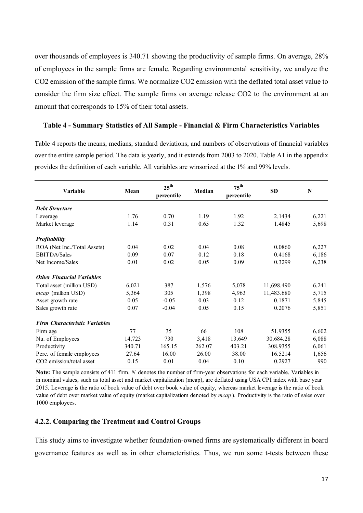over thousands of employees is 340.71 showing the productivity of sample firms. On average, 28% of employees in the sample firms are female. Regarding environmental sensitivity, we analyze the CO2 emission of the sample firms. We normalize CO2 emission with the deflated total asset value to consider the firm size effect. The sample firms on average release CO2 to the environment at an amount that corresponds to 15% of their total assets.

### **Table 4 - Summary Statistics of All Sample - Financial & Firm Characteristics Variables**

Table 4 reports the means, medians, standard deviations, and numbers of observations of financial variables over the entire sample period. The data is yearly, and it extends from 2003 to 2020. Table A1 in the appendix provides the definition of each variable. All variables are winsorized at the 1% and 99% levels.

| Variable                             | Mean   | $25^{\text{th}}$<br>percentile | Median | $75^{\text{th}}$<br>percentile | <b>SD</b>  | $\mathbf N$ |
|--------------------------------------|--------|--------------------------------|--------|--------------------------------|------------|-------------|
| <b>Debt Structure</b>                |        |                                |        |                                |            |             |
| Leverage                             | 1.76   | 0.70                           | 1.19   | 1.92                           | 2.1434     | 6,221       |
| Market leverage                      | 1.14   | 0.31                           | 0.65   | 1.32                           | 1.4845     | 5,698       |
| <b>Profitability</b>                 |        |                                |        |                                |            |             |
| ROA (Net Inc./Total Assets)          | 0.04   | 0.02                           | 0.04   | 0.08                           | 0.0860     | 6,227       |
| <b>EBITDA/Sales</b>                  | 0.09   | 0.07                           | 0.12   | 0.18                           | 0.4168     | 6,186       |
| Net Income/Sales                     | 0.01   | 0.02                           | 0.05   | 0.09                           | 0.3299     | 6,238       |
| <b>Other Financial Variables</b>     |        |                                |        |                                |            |             |
| Total asset (million USD)            | 6,021  | 387                            | 1,576  | 5,078                          | 11,698.490 | 6,241       |
| <i>mcap</i> (million USD)            | 5,364  | 305                            | 1,398  | 4,963                          | 11,483.680 | 5,715       |
| Asset growth rate                    | 0.05   | $-0.05$                        | 0.03   | 0.12                           | 0.1871     | 5,845       |
| Sales growth rate                    | 0.07   | $-0.04$                        | 0.05   | 0.15                           | 0.2076     | 5,851       |
| <b>Firm Characteristic Variables</b> |        |                                |        |                                |            |             |
| Firm age                             | 77     | 35                             | 66     | 108                            | 51.9355    | 6,602       |
| Nu. of Employees                     | 14,723 | 730                            | 3,418  | 13,649                         | 30,684.28  | 6,088       |
| Productivity                         | 340.71 | 165.15                         | 262.07 | 403.21                         | 308.9355   | 6,061       |
| Perc. of female employees            | 27.64  | 16.00                          | 26.00  | 38.00                          | 16.5214    | 1,656       |
| CO <sub>2</sub> emission/total asset | 0.15   | 0.01                           | 0.04   | 0.10                           | 0.2927     | 990         |

**Note:** The sample consists of 411 firm. *N* denotes the number of firm-year observations for each variable. Variables in in nominal values, such as total asset and market capitalization (mcap), are deflated using USA CPI index with base year 2015. Leverage is the ratio of book value of debt over book value of equity, whereas market leverage is the ratio of book value of debt over market value of equity (market capitalizatiom denoted by *mcap* ). Productivity is the ratio of sales over 1000 employees.

### **4.2.2. Comparing the Treatment and Control Groups**

This study aims to investigate whether foundation-owned firms are systematically different in board governance features as well as in other characteristics. Thus, we run some t-tests between these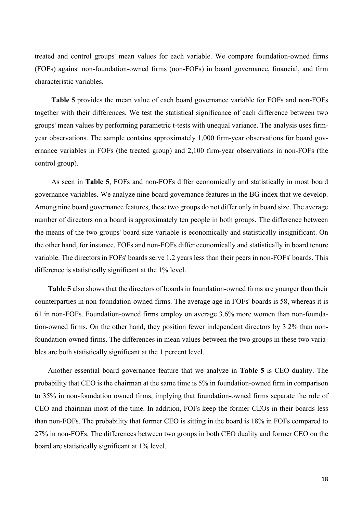treated and control groups' mean values for each variable. We compare foundation-owned firms (FOFs) against non-foundation-owned firms (non-FOFs) in board governance, financial, and firm characteristic variables.

**Table 5** provides the mean value of each board governance variable for FOFs and non-FOFs together with their differences. We test the statistical significance of each difference between two groups' mean values by performing parametric t-tests with unequal variance. The analysis uses firmyear observations. The sample contains approximately 1,000 firm-year observations for board governance variables in FOFs (the treated group) and 2,100 firm-year observations in non-FOFs (the control group).

As seen in **Table 5**, FOFs and non-FOFs differ economically and statistically in most board governance variables. We analyze nine board governance features in the BG index that we develop. Among nine board governance features, these two groups do not differ only in board size. The average number of directors on a board is approximately ten people in both groups. The difference between the means of the two groups' board size variable is economically and statistically insignificant. On the other hand, for instance, FOFs and non-FOFs differ economically and statistically in board tenure variable. The directors in FOFs' boards serve 1.2 years less than their peers in non-FOFs' boards. This difference is statistically significant at the 1% level.

**Table 5** also shows that the directors of boards in foundation-owned firms are younger than their counterparties in non-foundation-owned firms. The average age in FOFs' boards is 58, whereas it is 61 in non-FOFs. Foundation-owned firms employ on average 3.6% more women than non-foundation-owned firms. On the other hand, they position fewer independent directors by 3.2% than nonfoundation-owned firms. The differences in mean values between the two groups in these two variables are both statistically significant at the 1 percent level.

Another essential board governance feature that we analyze in **Table 5** is CEO duality. The probability that CEO is the chairman at the same time is 5% in foundation-owned firm in comparison to 35% in non-foundation owned firms, implying that foundation-owned firms separate the role of CEO and chairman most of the time. In addition, FOFs keep the former CEOs in their boards less than non-FOFs. The probability that former CEO is sitting in the board is 18% in FOFs compared to 27% in non-FOFs. The differences between two groups in both CEO duality and former CEO on the board are statistically significant at 1% level.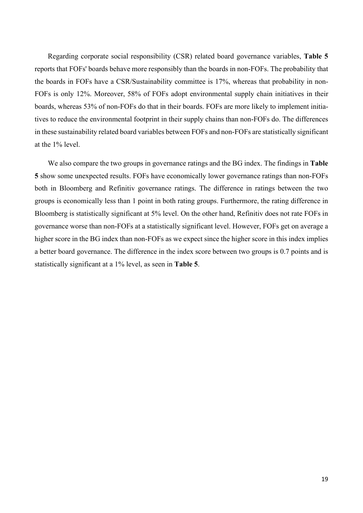Regarding corporate social responsibility (CSR) related board governance variables, **Table 5** reports that FOFs' boards behave more responsibly than the boards in non-FOFs. The probability that the boards in FOFs have a CSR/Sustainability committee is 17%, whereas that probability in non-FOFs is only 12%. Moreover, 58% of FOFs adopt environmental supply chain initiatives in their boards, whereas 53% of non-FOFs do that in their boards. FOFs are more likely to implement initiatives to reduce the environmental footprint in their supply chains than non-FOFs do. The differences in these sustainability related board variables between FOFs and non-FOFs are statistically significant at the 1% level.

We also compare the two groups in governance ratings and the BG index. The findings in **Table 5** show some unexpected results. FOFs have economically lower governance ratings than non-FOFs both in Bloomberg and Refinitiv governance ratings. The difference in ratings between the two groups is economically less than 1 point in both rating groups. Furthermore, the rating difference in Bloomberg is statistically significant at 5% level. On the other hand, Refinitiv does not rate FOFs in governance worse than non-FOFs at a statistically significant level. However, FOFs get on average a higher score in the BG index than non-FOFs as we expect since the higher score in this index implies a better board governance. The difference in the index score between two groups is 0.7 points and is statistically significant at a 1% level, as seen in **Table 5**.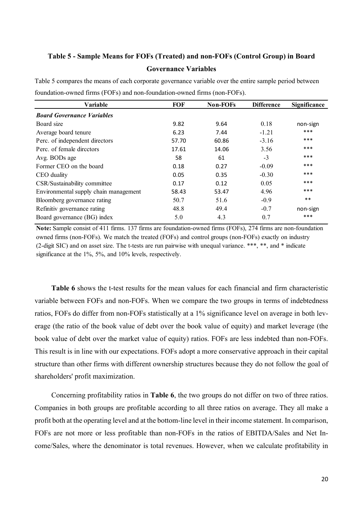### **Table 5 - Sample Means for FOFs (Treated) and non-FOFs (Control Group) in Board Governance Variables**

| Variable                              | <b>FOF</b> | <b>Non-FOFs</b> | <b>Difference</b> | <b>Significance</b> |
|---------------------------------------|------------|-----------------|-------------------|---------------------|
| <b>Board Governance Variables</b>     |            |                 |                   |                     |
| Board size                            | 9.82       | 9.64            | 0.18              | non-sign            |
| Average board tenure                  | 6.23       | 7.44            | $-1.21$           | ***                 |
| Perc. of independent directors        | 57.70      | 60.86           | $-3.16$           | ***                 |
| Perc. of female directors             | 17.61      | 14.06           | 3.56              | ***                 |
| Avg. BODs age                         | 58         | 61              | $-3$              | ***                 |
| Former CEO on the board               | 0.18       | 0.27            | $-0.09$           | ***                 |
| CEO duality                           | 0.05       | 0.35            | $-0.30$           | ***                 |
| CSR/Sustainability committee          | 0.17       | 0.12            | 0.05              | ***                 |
| Environmental supply chain management | 58.43      | 53.47           | 4.96              | ***                 |
| Bloomberg governance rating           | 50.7       | 51.6            | $-0.9$            | $***$               |
| Refinitiv governance rating           | 48.8       | 49.4            | $-0.7$            | non-sign            |
| Board governance (BG) index           | 5.0        | 4.3             | 0.7               | ***                 |
|                                       |            |                 |                   |                     |

Table 5 compares the means of each corporate governance variable over the entire sample period between foundation-owned firms (FOFs) and non-foundation-owned firms (non-FOFs).

**Note:** Sample consist of 411 firms. 137 firms are foundation-owned firms (FOFs), 274 firms are non-foundation owned firms (non-FOFs). We match the treated (FOFs) and control groups (non-FOFs) exactly on industry (2-digit SIC) and on asset size. The t-tests are run pairwise with unequal variance. \*\*\*, \*\*, and \* indicate significance at the 1%, 5%, and 10% levels, respectively.

**Table 6** shows the t-test results for the mean values for each financial and firm characteristic variable between FOFs and non-FOFs. When we compare the two groups in terms of indebtedness ratios, FOFs do differ from non-FOFs statistically at a 1% significance level on average in both leverage (the ratio of the book value of debt over the book value of equity) and market leverage (the book value of debt over the market value of equity) ratios. FOFs are less indebted than non-FOFs. This result is in line with our expectations. FOFs adopt a more conservative approach in their capital structure than other firms with different ownership structures because they do not follow the goal of shareholders' profit maximization.

Concerning profitability ratios in **Table 6**, the two groups do not differ on two of three ratios. Companies in both groups are profitable according to all three ratios on average. They all make a profit both at the operating level and at the bottom-line level in their income statement. In comparison, FOFs are not more or less profitable than non-FOFs in the ratios of EBITDA/Sales and Net Income/Sales, where the denominator is total revenues. However, when we calculate profitability in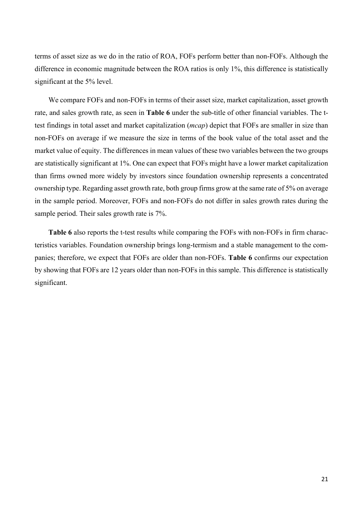terms of asset size as we do in the ratio of ROA, FOFs perform better than non-FOFs. Although the difference in economic magnitude between the ROA ratios is only 1%, this difference is statistically significant at the 5% level.

We compare FOFs and non-FOFs in terms of their asset size, market capitalization, asset growth rate, and sales growth rate, as seen in **Table 6** under the sub-title of other financial variables. The ttest findings in total asset and market capitalization (*mcap*) depict that FOFs are smaller in size than non-FOFs on average if we measure the size in terms of the book value of the total asset and the market value of equity. The differences in mean values of these two variables between the two groups are statistically significant at 1%. One can expect that FOFs might have a lower market capitalization than firms owned more widely by investors since foundation ownership represents a concentrated ownership type. Regarding asset growth rate, both group firms grow at the same rate of 5% on average in the sample period. Moreover, FOFs and non-FOFs do not differ in sales growth rates during the sample period. Their sales growth rate is 7%.

**Table 6** also reports the t-test results while comparing the FOFs with non-FOFs in firm characteristics variables. Foundation ownership brings long-termism and a stable management to the companies; therefore, we expect that FOFs are older than non-FOFs. **Table 6** confirms our expectation by showing that FOFs are 12 years older than non-FOFs in this sample. This difference is statistically significant.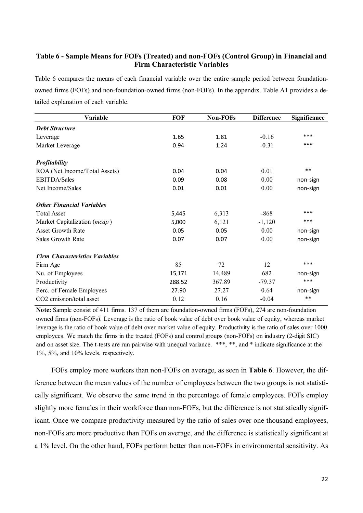### **Table 6 - Sample Means for FOFs (Treated) and non-FOFs (Control Group) in Financial and Firm Characteristic Variables**

Table 6 compares the means of each financial variable over the entire sample period between foundationowned firms (FOFs) and non-foundation-owned firms (non-FOFs). In the appendix. Table A1 provides a detailed explanation of each variable.

| Variable                              | <b>FOF</b> | <b>Non-FOFs</b> | <b>Difference</b> | <b>Significance</b> |
|---------------------------------------|------------|-----------------|-------------------|---------------------|
| <b>Debt Structure</b>                 |            |                 |                   |                     |
| Leverage                              | 1.65       | 1.81            | $-0.16$           | ***                 |
| Market Leverage                       | 0.94       | 1.24            | $-0.31$           | ***                 |
| Profitability                         |            |                 |                   |                     |
| ROA (Net Income/Total Assets)         | 0.04       | 0.04            | 0.01              | $***$               |
| <b>EBITDA/Sales</b>                   | 0.09       | 0.08            | 0.00              | non-sign            |
| Net Income/Sales                      | 0.01       | 0.01            | 0.00              | non-sign            |
| <b>Other Financial Variables</b>      |            |                 |                   |                     |
| <b>Total Asset</b>                    | 5,445      | 6,313           | $-868$            | ***                 |
| Market Capitalization (mcap)          | 5,000      | 6,121           | $-1,120$          | ***                 |
| <b>Asset Growth Rate</b>              | 0.05       | 0.05            | 0.00              | non-sign            |
| Sales Growth Rate                     | 0.07       | 0.07            | 0.00              | non-sign            |
| <b>Firm Characteristics Variables</b> |            |                 |                   |                     |
| Firm Age                              | 85         | 72              | 12                | ***                 |
| Nu. of Employees                      | 15,171     | 14,489          | 682               | non-sign            |
| Productivity                          | 288.52     | 367.89          | $-79.37$          | ***                 |
| Perc. of Female Employees             | 27.90      | 27.27           | 0.64              | non-sign            |
| CO <sub>2</sub> emission/total asset  | 0.12       | 0.16            | $-0.04$           | $***$               |

**Note:** Sample consist of 411 firms. 137 of them are foundation-owned firms (FOFs), 274 are non-foundation owned firms (non-FOFs). Leverage is the ratio of book value of debt over book value of equity, whereas market leverage is the ratio of book value of debt over market value of equity. Productivity is the ratio of sales over 1000 employees. We match the firms in the treated (FOFs) and control groups (non-FOFs) on industry (2-digit SIC) and on asset size. The t-tests are run pairwise with unequal variance. \*\*\*, \*\*, and \* indicate significance at the 1%, 5%, and 10% levels, respectively.

FOFs employ more workers than non-FOFs on average, as seen in **Table 6**. However, the difference between the mean values of the number of employees between the two groups is not statistically significant. We observe the same trend in the percentage of female employees. FOFs employ slightly more females in their workforce than non-FOFs, but the difference is not statistically significant. Once we compare productivity measured by the ratio of sales over one thousand employees, non-FOFs are more productive than FOFs on average, and the difference is statistically significant at a 1% level. On the other hand, FOFs perform better than non-FOFs in environmental sensitivity. As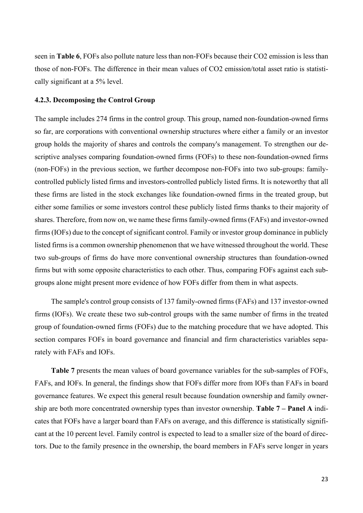seen in **Table 6**, FOFs also pollute nature less than non-FOFs because their CO2 emission is less than those of non-FOFs. The difference in their mean values of CO2 emission/total asset ratio is statistically significant at a 5% level.

#### **4.2.3. Decomposing the Control Group**

The sample includes 274 firms in the control group. This group, named non-foundation-owned firms so far, are corporations with conventional ownership structures where either a family or an investor group holds the majority of shares and controls the company's management. To strengthen our descriptive analyses comparing foundation-owned firms (FOFs) to these non-foundation-owned firms (non-FOFs) in the previous section, we further decompose non-FOFs into two sub-groups: familycontrolled publicly listed firms and investors-controlled publicly listed firms. It is noteworthy that all these firms are listed in the stock exchanges like foundation-owned firms in the treated group, but either some families or some investors control these publicly listed firms thanks to their majority of shares. Therefore, from now on, we name these firms family-owned firms (FAFs) and investor-owned firms (IOFs) due to the concept of significant control. Family or investor group dominance in publicly listed firms is a common ownership phenomenon that we have witnessed throughout the world. These two sub-groups of firms do have more conventional ownership structures than foundation-owned firms but with some opposite characteristics to each other. Thus, comparing FOFs against each subgroups alone might present more evidence of how FOFs differ from them in what aspects.

The sample's control group consists of 137 family-owned firms (FAFs) and 137 investor-owned firms (IOFs). We create these two sub-control groups with the same number of firms in the treated group of foundation-owned firms (FOFs) due to the matching procedure that we have adopted. This section compares FOFs in board governance and financial and firm characteristics variables separately with FAFs and IOFs.

**Table 7** presents the mean values of board governance variables for the sub-samples of FOFs, FAFs, and IOFs. In general, the findings show that FOFs differ more from IOFs than FAFs in board governance features. We expect this general result because foundation ownership and family ownership are both more concentrated ownership types than investor ownership. **Table 7 – Panel A** indicates that FOFs have a larger board than FAFs on average, and this difference is statistically significant at the 10 percent level. Family control is expected to lead to a smaller size of the board of directors. Due to the family presence in the ownership, the board members in FAFs serve longer in years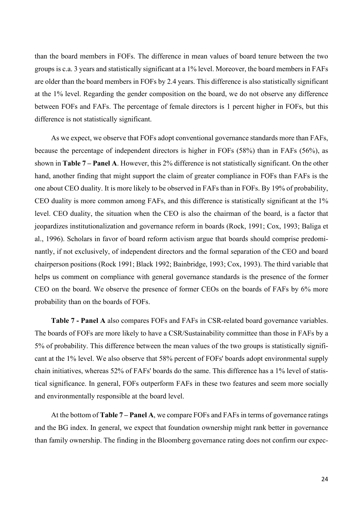than the board members in FOFs. The difference in mean values of board tenure between the two groups is c.a. 3 years and statistically significant at a 1% level. Moreover, the board members in FAFs are older than the board members in FOFs by 2.4 years. This difference is also statistically significant at the 1% level. Regarding the gender composition on the board, we do not observe any difference between FOFs and FAFs. The percentage of female directors is 1 percent higher in FOFs, but this difference is not statistically significant.

As we expect, we observe that FOFs adopt conventional governance standards more than FAFs, because the percentage of independent directors is higher in FOFs (58%) than in FAFs (56%), as shown in **Table 7 – Panel A**. However, this 2% difference is not statistically significant. On the other hand, another finding that might support the claim of greater compliance in FOFs than FAFs is the one about CEO duality. It is more likely to be observed in FAFs than in FOFs. By 19% of probability, CEO duality is more common among FAFs, and this difference is statistically significant at the 1% level. CEO duality, the situation when the CEO is also the chairman of the board, is a factor that jeopardizes institutionalization and governance reform in boards (Rock, 1991; Cox, 1993; Baliga et al., 1996). Scholars in favor of board reform activism argue that boards should comprise predominantly, if not exclusively, of independent directors and the formal separation of the CEO and board chairperson positions (Rock 1991; Black 1992; Bainbridge, 1993; Cox, 1993). The third variable that helps us comment on compliance with general governance standards is the presence of the former CEO on the board. We observe the presence of former CEOs on the boards of FAFs by 6% more probability than on the boards of FOFs.

**Table 7 - Panel A** also compares FOFs and FAFs in CSR-related board governance variables. The boards of FOFs are more likely to have a CSR/Sustainability committee than those in FAFs by a 5% of probability. This difference between the mean values of the two groups is statistically significant at the 1% level. We also observe that 58% percent of FOFs' boards adopt environmental supply chain initiatives, whereas 52% of FAFs' boards do the same. This difference has a 1% level of statistical significance. In general, FOFs outperform FAFs in these two features and seem more socially and environmentally responsible at the board level.

At the bottom of **Table 7 – Panel A**, we compare FOFs and FAFs in terms of governance ratings and the BG index. In general, we expect that foundation ownership might rank better in governance than family ownership. The finding in the Bloomberg governance rating does not confirm our expec-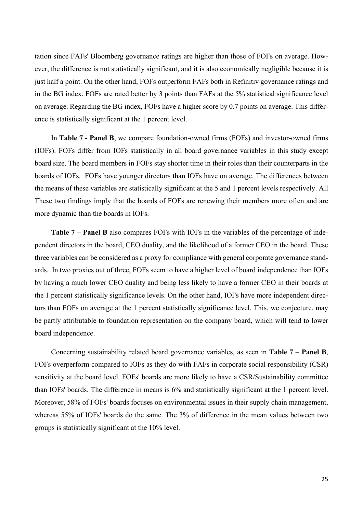tation since FAFs' Bloomberg governance ratings are higher than those of FOFs on average. However, the difference is not statistically significant, and it is also economically negligible because it is just half a point. On the other hand, FOFs outperform FAFs both in Refinitiv governance ratings and in the BG index. FOFs are rated better by 3 points than FAFs at the 5% statistical significance level on average. Regarding the BG index, FOFs have a higher score by 0.7 points on average. This difference is statistically significant at the 1 percent level.

In **Table 7 - Panel B**, we compare foundation-owned firms (FOFs) and investor-owned firms (IOFs). FOFs differ from IOFs statistically in all board governance variables in this study except board size. The board members in FOFs stay shorter time in their roles than their counterparts in the boards of IOFs. FOFs have younger directors than IOFs have on average. The differences between the means of these variables are statistically significant at the 5 and 1 percent levels respectively. All These two findings imply that the boards of FOFs are renewing their members more often and are more dynamic than the boards in IOFs.

**Table 7 – Panel B** also compares FOFs with IOFs in the variables of the percentage of independent directors in the board, CEO duality, and the likelihood of a former CEO in the board. These three variables can be considered as a proxy for compliance with general corporate governance standards. In two proxies out of three, FOFs seem to have a higher level of board independence than IOFs by having a much lower CEO duality and being less likely to have a former CEO in their boards at the 1 percent statistically significance levels. On the other hand, IOFs have more independent directors than FOFs on average at the 1 percent statistically significance level. This, we conjecture, may be partly attributable to foundation representation on the company board, which will tend to lower board independence.

Concerning sustainability related board governance variables, as seen in **Table 7 – Panel B**, FOFs overperform compared to IOFs as they do with FAFs in corporate social responsibility (CSR) sensitivity at the board level. FOFs' boards are more likely to have a CSR/Sustainability committee than IOFs' boards. The difference in means is 6% and statistically significant at the 1 percent level. Moreover, 58% of FOFs' boards focuses on environmental issues in their supply chain management, whereas 55% of IOFs' boards do the same. The 3% of difference in the mean values between two groups is statistically significant at the 10% level.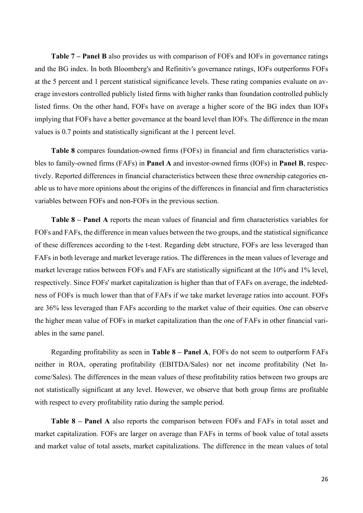**Table 7 – Panel B** also provides us with comparison of FOFs and IOFs in governance ratings and the BG index. In both Bloomberg's and Refinitiv's governance ratings, IOFs outperforms FOFs at the 5 percent and 1 percent statistical significance levels. These rating companies evaluate on average investors controlled publicly listed firms with higher ranks than foundation controlled publicly listed firms. On the other hand, FOFs have on average a higher score of the BG index than IOFs implying that FOFs have a better governance at the board level than IOFs. The difference in the mean values is 0.7 points and statistically significant at the 1 percent level.

**Table 8** compares foundation-owned firms (FOFs) in financial and firm characteristics variables to family-owned firms (FAFs) in **Panel A** and investor-owned firms (IOFs) in **Panel B**, respectively. Reported differences in financial characteristics between these three ownership categories enable us to have more opinions about the origins of the differences in financial and firm characteristics variables between FOFs and non-FOFs in the previous section.

**Table 8 – Panel A** reports the mean values of financial and firm characteristics variables for FOFs and FAFs, the difference in mean values between the two groups, and the statistical significance of these differences according to the t-test. Regarding debt structure, FOFs are less leveraged than FAFs in both leverage and market leverage ratios. The differences in the mean values of leverage and market leverage ratios between FOFs and FAFs are statistically significant at the 10% and 1% level, respectively. Since FOFs' market capitalization is higher than that of FAFs on average, the indebtedness of FOFs is much lower than that of FAFs if we take market leverage ratios into account. FOFs are 36% less leveraged than FAFs according to the market value of their equities. One can observe the higher mean value of FOFs in market capitalization than the one of FAFs in other financial variables in the same panel.

Regarding profitability as seen in **Table 8 – Panel A**, FOFs do not seem to outperform FAFs neither in ROA, operating profitability (EBITDA/Sales) nor net income profitability (Net Income/Sales). The differences in the mean values of these profitability ratios between two groups are not statistically significant at any level. However, we observe that both group firms are profitable with respect to every profitability ratio during the sample period.

**Table 8 – Panel A** also reports the comparison between FOFs and FAFs in total asset and market capitalization. FOFs are larger on average than FAFs in terms of book value of total assets and market value of total assets, market capitalizations. The difference in the mean values of total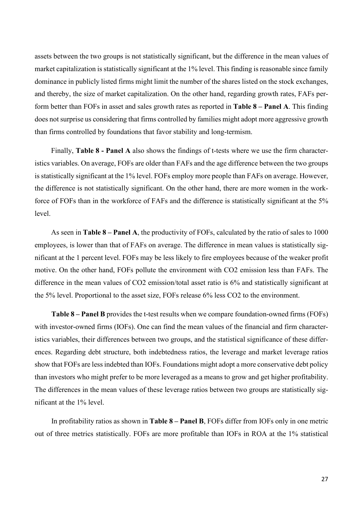assets between the two groups is not statistically significant, but the difference in the mean values of market capitalization is statistically significant at the 1% level. This finding is reasonable since family dominance in publicly listed firms might limit the number of the shares listed on the stock exchanges, and thereby, the size of market capitalization. On the other hand, regarding growth rates, FAFs perform better than FOFs in asset and sales growth rates as reported in **Table 8 – Panel A**. This finding does not surprise us considering that firms controlled by families might adopt more aggressive growth than firms controlled by foundations that favor stability and long-termism.

Finally, **Table 8 - Panel A** also shows the findings of t-tests where we use the firm characteristics variables. On average, FOFs are older than FAFs and the age difference between the two groups is statistically significant at the 1% level. FOFs employ more people than FAFs on average. However, the difference is not statistically significant. On the other hand, there are more women in the workforce of FOFs than in the workforce of FAFs and the difference is statistically significant at the 5% level.

As seen in **Table 8 – Panel A**, the productivity of FOFs, calculated by the ratio of sales to 1000 employees, is lower than that of FAFs on average. The difference in mean values is statistically significant at the 1 percent level. FOFs may be less likely to fire employees because of the weaker profit motive. On the other hand, FOFs pollute the environment with CO2 emission less than FAFs. The difference in the mean values of CO2 emission/total asset ratio is 6% and statistically significant at the 5% level. Proportional to the asset size, FOFs release 6% less CO2 to the environment.

**Table 8 – Panel B** provides the t-test results when we compare foundation-owned firms (FOFs) with investor-owned firms (IOFs). One can find the mean values of the financial and firm characteristics variables, their differences between two groups, and the statistical significance of these differences. Regarding debt structure, both indebtedness ratios, the leverage and market leverage ratios show that FOFs are less indebted than IOFs. Foundations might adopt a more conservative debt policy than investors who might prefer to be more leveraged as a means to grow and get higher profitability. The differences in the mean values of these leverage ratios between two groups are statistically significant at the 1% level.

In profitability ratios as shown in **Table 8 – Panel B**, FOFs differ from IOFs only in one metric out of three metrics statistically. FOFs are more profitable than IOFs in ROA at the 1% statistical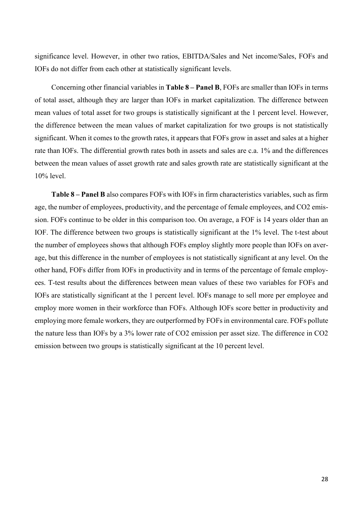significance level. However, in other two ratios, EBITDA/Sales and Net income/Sales, FOFs and IOFs do not differ from each other at statistically significant levels.

Concerning other financial variables in **Table 8 – Panel B**, FOFs are smaller than IOFs in terms of total asset, although they are larger than IOFs in market capitalization. The difference between mean values of total asset for two groups is statistically significant at the 1 percent level. However, the difference between the mean values of market capitalization for two groups is not statistically significant. When it comes to the growth rates, it appears that FOFs grow in asset and sales at a higher rate than IOFs. The differential growth rates both in assets and sales are c.a. 1% and the differences between the mean values of asset growth rate and sales growth rate are statistically significant at the 10% level.

**Table 8 – Panel B** also compares FOFs with IOFs in firm characteristics variables, such as firm age, the number of employees, productivity, and the percentage of female employees, and CO2 emission. FOFs continue to be older in this comparison too. On average, a FOF is 14 years older than an IOF. The difference between two groups is statistically significant at the 1% level. The t-test about the number of employees shows that although FOFs employ slightly more people than IOFs on average, but this difference in the number of employees is not statistically significant at any level. On the other hand, FOFs differ from IOFs in productivity and in terms of the percentage of female employees. T-test results about the differences between mean values of these two variables for FOFs and IOFs are statistically significant at the 1 percent level. IOFs manage to sell more per employee and employ more women in their workforce than FOFs. Although IOFs score better in productivity and employing more female workers, they are outperformed by FOFs in environmental care. FOFs pollute the nature less than IOFs by a 3% lower rate of CO2 emission per asset size. The difference in CO2 emission between two groups is statistically significant at the 10 percent level.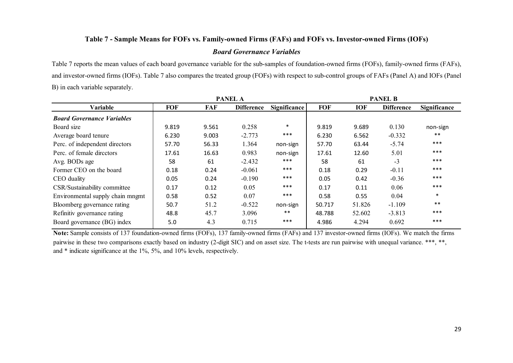### **Table 7 - Sample Means for FOFs vs. Family-owned Firms (FAFs) and FOFs vs. Investor-owned Firms (IOFs)**

### *Board Governance Variables*

Table 7 reports the mean values of each board governance variable for the sub-samples of foundation-owned firms (FOFs), family-owned firms (FAFs), and investor-owned firms (IOFs). Table 7 also compares the treated group (FOFs) with respect to sub-control groups of FAFs (Panel A) and IOFs (Panel B) in each variable separately.

|                                   | <b>PANEL A</b> |       |                   | <b>PANEL B</b>      |            |            |                   |                     |
|-----------------------------------|----------------|-------|-------------------|---------------------|------------|------------|-------------------|---------------------|
| Variable                          | <b>FOF</b>     | FAF   | <b>Difference</b> | <b>Significance</b> | <b>FOF</b> | <b>IOF</b> | <b>Difference</b> | <b>Significance</b> |
| <b>Board Governance Variables</b> |                |       |                   |                     |            |            |                   |                     |
| Board size                        | 9.819          | 9.561 | 0.258             | $\ast$              | 9.819      | 9.689      | 0.130             | non-sign            |
| Average board tenure              | 6.230          | 9.003 | $-2.773$          | ***                 | 6.230      | 6.562      | $-0.332$          | $***$               |
| Perc. of independent directors    | 57.70          | 56.33 | 1.364             | non-sign            | 57.70      | 63.44      | $-5.74$           | $***$               |
| Perc. of female directors         | 17.61          | 16.63 | 0.983             | non-sign            | 17.61      | 12.60      | 5.01              | $***$               |
| Avg. BODs age                     | 58             | 61    | $-2.432$          | ***                 | 58         | 61         | $-3$              | $***$               |
| Former CEO on the board           | 0.18           | 0.24  | $-0.061$          | ***                 | 0.18       | 0.29       | $-0.11$           | $***$               |
| CEO duality                       | 0.05           | 0.24  | $-0.190$          | $***$               | 0.05       | 0.42       | $-0.36$           | $***$               |
| CSR/Sustainability committee      | 0.17           | 0.12  | 0.05              | $***$               | 0.17       | 0.11       | 0.06              | $***$               |
| Environmental supply chain mngmt  | 0.58           | 0.52  | 0.07              | ***                 | 0.58       | 0.55       | 0.04              | $\ast$              |
| Bloomberg governance rating       | 50.7           | 51.2  | $-0.522$          | non-sign            | 50.717     | 51.826     | $-1.109$          | $***$               |
| Refinitiv governance rating       | 48.8           | 45.7  | 3.096             | $***$               | 48.788     | 52.602     | $-3.813$          | $***$               |
| Board governance (BG) index       | 5.0            | 4.3   | 0.715             | ***                 | 4.986      | 4.294      | 0.692             | $***$               |

**Note:** Sample consists of 137 foundation-owned firms (FOFs), 137 family-owned firms (FAFs) and 137 investor-owned firms (IOFs). We match the firms pairwise in these two comparisons exactly based on industry (2-digit SIC) and on asset size. The t-tests are run pairwise with unequal variance. \*\*\*, \*\*, and \* indicate significance at the 1%, 5%, and 10% levels, respectively.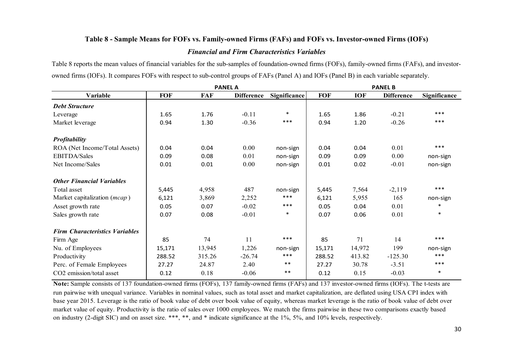# **Table 8 - Sample Means for FOFs vs. Family-owned Firms (FAFs) and FOFs vs. Investor-owned Firms (IOFs)** *Financial and Firm Characteristics Variables*

Table 8 reports the mean values of financial variables for the sub-samples of foundation-owned firms (FOFs), family-owned firms (FAFs), and investorowned firms (IOFs). It compares FOFs with respect to sub-control groups of FAFs (Panel A) and IOFs (Panel B) in each variable separately.

| <b>PANEL A</b>                        |            |            |                   |              | <b>PANEL B</b> |            |                   |                     |
|---------------------------------------|------------|------------|-------------------|--------------|----------------|------------|-------------------|---------------------|
| Variable                              | <b>FOF</b> | <b>FAF</b> | <b>Difference</b> | Significance | <b>FOF</b>     | <b>IOF</b> | <b>Difference</b> | <b>Significance</b> |
| <b>Debt Structure</b>                 |            |            |                   |              |                |            |                   |                     |
| Leverage                              | 1.65       | 1.76       | $-0.11$           | $\ast$       | 1.65           | 1.86       | $-0.21$           | ***                 |
| Market leverage                       | 0.94       | 1.30       | $-0.36$           | $***$        | 0.94           | 1.20       | $-0.26$           | ***                 |
| <b>Profitability</b>                  |            |            |                   |              |                |            |                   |                     |
| ROA (Net Income/Total Assets)         | 0.04       | 0.04       | 0.00              | non-sign     | 0.04           | 0.04       | 0.01              | ***                 |
| <b>EBITDA/Sales</b>                   | 0.09       | 0.08       | 0.01              | non-sign     | 0.09           | 0.09       | 0.00              | non-sign            |
| Net Income/Sales                      | 0.01       | 0.01       | 0.00              | non-sign     | 0.01           | 0.02       | $-0.01$           | non-sign            |
| <b>Other Financial Variables</b>      |            |            |                   |              |                |            |                   |                     |
| Total asset                           | 5,445      | 4,958      | 487               | non-sign     | 5,445          | 7,564      | $-2,119$          | ***                 |
| Market capitalization ( <i>mcap</i> ) | 6,121      | 3,869      | 2,252             | ***          | 6,121          | 5,955      | 165               | non-sign            |
| Asset growth rate                     | 0.05       | 0.07       | $-0.02$           | $***$        | 0.05           | 0.04       | 0.01              | $\ast$              |
| Sales growth rate                     | 0.07       | 0.08       | $-0.01$           | $\ast$       | 0.07           | 0.06       | 0.01              | $\ast$              |
| <b>Firm Characteristics Variables</b> |            |            |                   |              |                |            |                   |                     |
| Firm Age                              | 85         | 74         | 11                | $***$        | 85             | 71         | 14                | ***                 |
| Nu. of Employees                      | 15,171     | 13,945     | 1,226             | non-sign     | 15,171         | 14,972     | 199               | non-sign            |
| Productivity                          | 288.52     | 315.26     | $-26.74$          | $***$        | 288.52         | 413.82     | $-125.30$         | ***                 |
| Perc. of Female Employees             | 27.27      | 24.87      | 2.40              | $***$        | 27.27          | 30.78      | $-3.51$           | ***                 |
| CO2 emission/total asset              | 0.12       | 0.18       | $-0.06$           | $***$        | 0.12           | 0.15       | $-0.03$           | $\ast$              |

**Note:** Sample consists of 137 foundation-owned firms (FOFs), 137 family-owned firms (FAFs) and 137 investor-owned firms (IOFs). The t-tests are run pairwise with unequal variance. Variables in nominal values, such as total asset and market capitalization, are deflated using USA CPI index with base year 2015. Leverage is the ratio of book value of debt over book value of equity, whereas market leverage is the ratio of book value of debt over market value of equity. Productivity is the ratio of sales over 1000 employees. We match the firms pairwise in these two comparisons exactly based on industry (2-digit SIC) and on asset size. \*\*\*, \*\*, and \* indicate significance at the 1%, 5%, and 10% levels, respectively.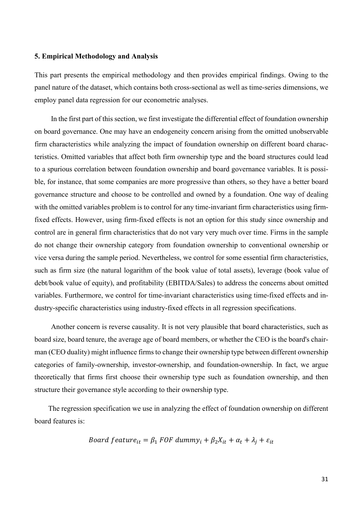### **5. Empirical Methodology and Analysis**

This part presents the empirical methodology and then provides empirical findings. Owing to the panel nature of the dataset, which contains both cross-sectional as well as time-series dimensions, we employ panel data regression for our econometric analyses.

In the first part of this section, we first investigate the differential effect of foundation ownership on board governance. One may have an endogeneity concern arising from the omitted unobservable firm characteristics while analyzing the impact of foundation ownership on different board characteristics. Omitted variables that affect both firm ownership type and the board structures could lead to a spurious correlation between foundation ownership and board governance variables. It is possible, for instance, that some companies are more progressive than others, so they have a better board governance structure and choose to be controlled and owned by a foundation. One way of dealing with the omitted variables problem is to control for any time-invariant firm characteristics using firmfixed effects. However, using firm-fixed effects is not an option for this study since ownership and control are in general firm characteristics that do not vary very much over time. Firms in the sample do not change their ownership category from foundation ownership to conventional ownership or vice versa during the sample period. Nevertheless, we control for some essential firm characteristics, such as firm size (the natural logarithm of the book value of total assets), leverage (book value of debt/book value of equity), and profitability (EBITDA/Sales) to address the concerns about omitted variables. Furthermore, we control for time-invariant characteristics using time-fixed effects and industry-specific characteristics using industry-fixed effects in all regression specifications.

Another concern is reverse causality. It is not very plausible that board characteristics, such as board size, board tenure, the average age of board members, or whether the CEO is the board's chairman (CEO duality) might influence firms to change their ownership type between different ownership categories of family-ownership, investor-ownership, and foundation-ownership. In fact, we argue theoretically that firms first choose their ownership type such as foundation ownership, and then structure their governance style according to their ownership type.

The regression specification we use in analyzing the effect of foundation ownership on different board features is:

*Board feature<sub>it</sub>* = 
$$
\beta_1
$$
 *FOF dummy<sub>i</sub>* +  $\beta_2 X_{it}$  +  $\alpha_t$  +  $\lambda_j$  +  $\varepsilon_{it}$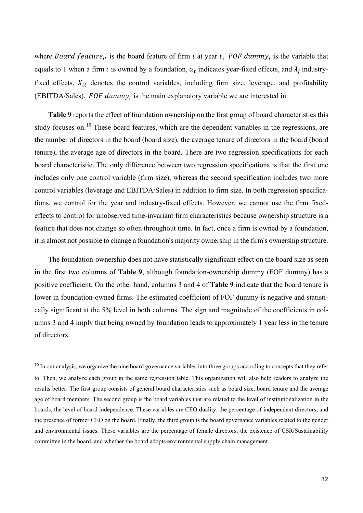where Board feature<sub>it</sub> is the board feature of firm *i* at year t, FOF dummy<sub>i</sub> is the variable that equals to 1 when a firm *i* is owned by a foundation,  $\alpha_t$  indicates year-fixed effects, and  $\lambda_i$  industryfixed effects.  $X_{it}$  denotes the control variables, including firm size, leverage, and profitability (EBITDA/Sales). FOF dummy $_i$  is the main explanatory variable we are interested in.

**Table 9** reports the effect of foundation ownership on the first group of board characteristics this study focuses on.<sup>[10](#page-31-0)</sup> These board features, which are the dependent variables in the regressions, are the number of directors in the board (board size), the average tenure of directors in the board (board tenure), the average age of directors in the board. There are two regression specifications for each board characteristic. The only difference between two regression specifications is that the first one includes only one control variable (firm size), whereas the second specification includes two more control variables (leverage and EBITDA/Sales) in addition to firm size. In both regression specifications, we control for the year and industry-fixed effects. However, we cannot use the firm fixedeffects to control for unobserved time-invariant firm characteristics because ownership structure is a feature that does not change so often throughout time. In fact, once a firm is owned by a foundation, it is almost not possible to change a foundation's majority ownership in the firm's ownership structure.

The foundation-ownership does not have statistically significant effect on the board size as seen in the first two columns of **Table 9**, although foundation-ownership dummy (FOF dummy) has a positive coefficient. On the other hand, columns 3 and 4 of **Table 9** indicate that the board tenure is lower in foundation-owned firms. The estimated coefficient of FOF dummy is negative and statistically significant at the 5% level in both columns. The sign and magnitude of the coefficients in columns 3 and 4 imply that being owned by foundation leads to approximately 1 year less in the tenure of directors.

<span id="page-31-0"></span><sup>&</sup>lt;sup>10</sup> In our analysis, we organize the nine board governance variables into three groups according to concepts that they refer to. Then, we analyze each group in the same regression table. This organization will also help readers to analyze the results better. The first group consists of general board characteristics such as board size, board tenure and the average age of board members. The second group is the board variables that are related to the level of institutionalization in the boards, the level of board independence. These variables are CEO duality, the percentage of independent directors, and the presence of former CEO on the board. Finally, the third group is the board governance variables related to the gender and environmental issues. These variables are the percentage of female directors, the existence of CSR/Sustainability committee in the board, and whether the board adopts environmental supply chain management.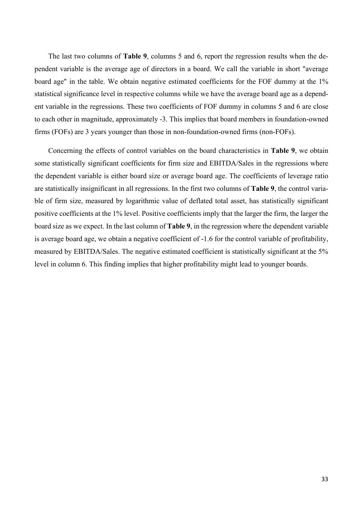The last two columns of **Table 9**, columns 5 and 6, report the regression results when the dependent variable is the average age of directors in a board. We call the variable in short "average board age" in the table. We obtain negative estimated coefficients for the FOF dummy at the 1% statistical significance level in respective columns while we have the average board age as a dependent variable in the regressions. These two coefficients of FOF dummy in columns 5 and 6 are close to each other in magnitude, approximately -3. This implies that board members in foundation-owned firms (FOFs) are 3 years younger than those in non-foundation-owned firms (non-FOFs).

Concerning the effects of control variables on the board characteristics in **Table 9**, we obtain some statistically significant coefficients for firm size and EBITDA/Sales in the regressions where the dependent variable is either board size or average board age. The coefficients of leverage ratio are statistically insignificant in all regressions. In the first two columns of **Table 9**, the control variable of firm size, measured by logarithmic value of deflated total asset, has statistically significant positive coefficients at the 1% level. Positive coefficients imply that the larger the firm, the larger the board size as we expect. In the last column of **Table 9**, in the regression where the dependent variable is average board age, we obtain a negative coefficient of -1.6 for the control variable of profitability, measured by EBITDA/Sales. The negative estimated coefficient is statistically significant at the 5% level in column 6. This finding implies that higher profitability might lead to younger boards.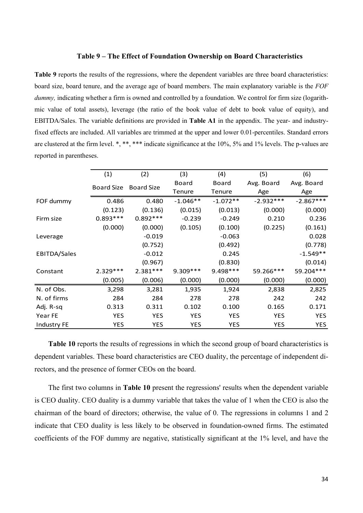### **Table 9 – The Effect of Foundation Ownership on Board Characteristics**

**Table 9** reports the results of the regressions, where the dependent variables are three board characteristics: board size, board tenure, and the average age of board members. The main explanatory variable is the *FOF dummy*, indicating whether a firm is owned and controlled by a foundation. We control for firm size (logarithmic value of total assets), leverage (the ratio of the book value of debt to book value of equity), and EBITDA/Sales. The variable definitions are provided in **Table A1** in the appendix. The year- and industryfixed effects are included. All variables are trimmed at the upper and lower 0.01-percentiles. Standard errors are clustered at the firm level. \*, \*\*\*, \*\*\* indicate significance at the 10%, 5% and 1% levels. The p-values are reported in parentheses.

|                    | (1)               | (2)               | (3)        | (4)        | (5)         | (6)         |
|--------------------|-------------------|-------------------|------------|------------|-------------|-------------|
|                    | <b>Board Size</b> | <b>Board Size</b> | Board      | Board      | Avg. Board  | Avg. Board  |
|                    |                   |                   | Tenure     | Tenure     | Age         | Age         |
| FOF dummy          | 0.486             | 0.480             | $-1.046**$ | $-1.072**$ | $-2.932***$ | $-2.867***$ |
|                    | (0.123)           | (0.136)           | (0.015)    | (0.013)    | (0.000)     | (0.000)     |
| Firm size          | $0.893***$        | $0.892***$        | $-0.239$   | $-0.249$   | 0.210       | 0.236       |
|                    | (0.000)           | (0.000)           | (0.105)    | (0.100)    | (0.225)     | (0.161)     |
| Leverage           |                   | $-0.019$          |            | $-0.063$   |             | 0.028       |
|                    |                   | (0.752)           |            | (0.492)    |             | (0.778)     |
| EBITDA/Sales       |                   | $-0.012$          |            | 0.245      |             | $-1.549**$  |
|                    |                   | (0.967)           |            | (0.830)    |             | (0.014)     |
| Constant           | $2.329***$        | $2.381***$        | $9.309***$ | $9.498***$ | 59.266***   | 59.204 ***  |
|                    | (0.005)           | (0.006)           | (0.000)    | (0.000)    | (0.000)     | (0.000)     |
| N. of Obs.         | 3,298             | 3,281             | 1,935      | 1,924      | 2,838       | 2,825       |
| N. of firms        | 284               | 284               | 278        | 278        | 242         | 242         |
| Adj. R-sq          | 0.313             | 0.311             | 0.102      | 0.100      | 0.165       | 0.171       |
| Year FE            | <b>YES</b>        | <b>YES</b>        | <b>YES</b> | <b>YES</b> | <b>YES</b>  | <b>YES</b>  |
| <b>Industry FE</b> | <b>YES</b>        | <b>YES</b>        | <b>YES</b> | <b>YES</b> | YES         | <b>YES</b>  |

**Table 10** reports the results of regressions in which the second group of board characteristics is dependent variables. These board characteristics are CEO duality, the percentage of independent directors, and the presence of former CEOs on the board.

The first two columns in **Table 10** present the regressions' results when the dependent variable is CEO duality. CEO duality is a dummy variable that takes the value of 1 when the CEO is also the chairman of the board of directors; otherwise, the value of 0. The regressions in columns 1 and 2 indicate that CEO duality is less likely to be observed in foundation-owned firms. The estimated coefficients of the FOF dummy are negative, statistically significant at the 1% level, and have the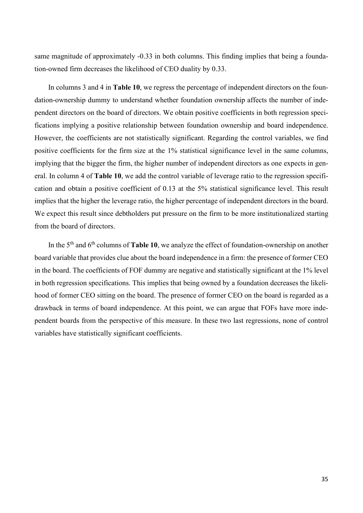same magnitude of approximately -0.33 in both columns. This finding implies that being a foundation-owned firm decreases the likelihood of CEO duality by 0.33.

In columns 3 and 4 in **Table 10**, we regress the percentage of independent directors on the foundation-ownership dummy to understand whether foundation ownership affects the number of independent directors on the board of directors. We obtain positive coefficients in both regression specifications implying a positive relationship between foundation ownership and board independence. However, the coefficients are not statistically significant. Regarding the control variables, we find positive coefficients for the firm size at the 1% statistical significance level in the same columns, implying that the bigger the firm, the higher number of independent directors as one expects in general. In column 4 of **Table 10**, we add the control variable of leverage ratio to the regression specification and obtain a positive coefficient of 0.13 at the 5% statistical significance level. This result implies that the higher the leverage ratio, the higher percentage of independent directors in the board. We expect this result since debtholders put pressure on the firm to be more institutionalized starting from the board of directors.

In the 5th and 6th columns of **Table 10**, we analyze the effect of foundation-ownership on another board variable that provides clue about the board independence in a firm: the presence of former CEO in the board. The coefficients of FOF dummy are negative and statistically significant at the 1% level in both regression specifications. This implies that being owned by a foundation decreases the likelihood of former CEO sitting on the board. The presence of former CEO on the board is regarded as a drawback in terms of board independence. At this point, we can argue that FOFs have more independent boards from the perspective of this measure. In these two last regressions, none of control variables have statistically significant coefficients.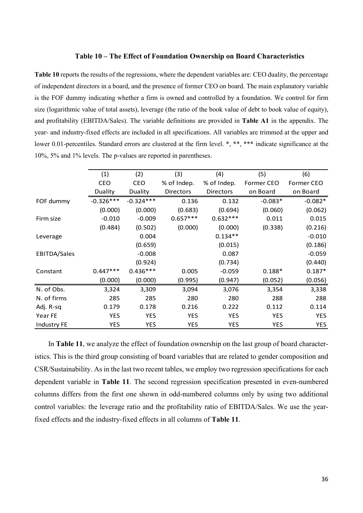### **Table 10 – The Effect of Foundation Ownership on Board Characteristics**

**Table 10** reports the results of the regressions, where the dependent variables are: CEO duality, the percentage of independent directors in a board, and the presence of former CEO on board. The main explanatory variable is the FOF dummy indicating whether a firm is owned and controlled by a foundation. We control for firm size (logarithmic value of total assets), leverage (the ratio of the book value of debt to book value of equity), and profitability (EBITDA/Sales). The variable definitions are provided in **Table A1** in the appendix. The year- and industry-fixed effects are included in all specifications. All variables are trimmed at the upper and lower 0.01-percentiles. Standard errors are clustered at the firm level. \*, \*\*, \*\*\* indicate significance at the 10%, 5% and 1% levels. The p-values are reported in parentheses.

|              | (1)         | (2)         | (3)              | (4)         | (5)        | (6)        |
|--------------|-------------|-------------|------------------|-------------|------------|------------|
|              | CEO         | CEO         | % of Indep.      | % of Indep. | Former CEO | Former CEO |
|              | Duality     | Duality     | <b>Directors</b> | Directors   | on Board   | on Board   |
| FOF dummy    | $-0.326***$ | $-0.324***$ | 0.136            | 0.132       | $-0.083*$  | $-0.082*$  |
|              | (0.000)     | (0.000)     | (0.683)          | (0.694)     | (0.060)    | (0.062)    |
| Firm size    | $-0.010$    | $-0.009$    | $0.657***$       | $0.632***$  | 0.011      | 0.015      |
|              | (0.484)     | (0.502)     | (0.000)          | (0.000)     | (0.338)    | (0.216)    |
| Leverage     |             | 0.004       |                  | $0.134**$   |            | $-0.010$   |
|              |             | (0.659)     |                  | (0.015)     |            | (0.186)    |
| EBITDA/Sales |             | $-0.008$    |                  | 0.087       |            | $-0.059$   |
|              |             | (0.924)     |                  | (0.734)     |            | (0.440)    |
| Constant     | $0.447***$  | $0.436***$  | 0.005            | $-0.059$    | $0.188*$   | $0.187*$   |
|              | (0.000)     | (0.000)     | (0.995)          | (0.947)     | (0.052)    | (0.056)    |
| N. of Obs.   | 3,324       | 3,309       | 3,094            | 3,076       | 3,354      | 3,338      |
| N. of firms  | 285         | 285         | 280              | 280         | 288        | 288        |
| Adj. R-sq    | 0.179       | 0.178       | 0.216            | 0.222       | 0.112      | 0.114      |
| Year FE      | <b>YES</b>  | <b>YES</b>  | <b>YES</b>       | <b>YES</b>  | <b>YES</b> | <b>YES</b> |
| Industry FE  | <b>YES</b>  | <b>YES</b>  | <b>YES</b>       | <b>YES</b>  | <b>YES</b> | <b>YES</b> |

In **Table 11**, we analyze the effect of foundation ownership on the last group of board characteristics. This is the third group consisting of board variables that are related to gender composition and CSR/Sustainability. As in the last two recent tables, we employ two regression specifications for each dependent variable in **Table 11**. The second regression specification presented in even-numbered columns differs from the first one shown in odd-numbered columns only by using two additional control variables: the leverage ratio and the profitability ratio of EBITDA/Sales. We use the yearfixed effects and the industry-fixed effects in all columns of **Table 11**.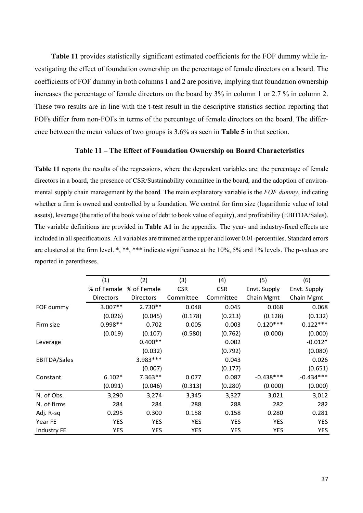**Table 11** provides statistically significant estimated coefficients for the FOF dummy while investigating the effect of foundation ownership on the percentage of female directors on a board. The coefficients of FOF dummy in both columns 1 and 2 are positive, implying that foundation ownership increases the percentage of female directors on the board by 3% in column 1 or 2.7 % in column 2. These two results are in line with the t-test result in the descriptive statistics section reporting that FOFs differ from non-FOFs in terms of the percentage of female directors on the board. The difference between the mean values of two groups is 3.6% as seen in **Table 5** in that section.

### **Table 11 – The Effect of Foundation Ownership on Board Characteristics**

**Table 11** reports the results of the regressions, where the dependent variables are: the percentage of female directors in a board, the presence of CSR/Sustainability committee in the board, and the adoption of environmental supply chain management by the board. The main explanatory variable is the *FOF dummy*, indicating whether a firm is owned and controlled by a foundation. We control for firm size (logarithmic value of total assets), leverage (the ratio of the book value of debt to book value of equity), and profitability (EBITDA/Sales). The variable definitions are provided in **Table A1** in the appendix. The year- and industry-fixed effects are included in all specifications. All variables are trimmed at the upper and lower 0.01-percentiles. Standard errors are clustered at the firm level. \*, \*\*, \*\*\* indicate significance at the 10%, 5% and 1% levels. The p-values are reported in parentheses.

|                    | (1)         | (2)              | (3)        | (4)        | (5)          | (6)          |
|--------------------|-------------|------------------|------------|------------|--------------|--------------|
|                    | % of Female | % of Female      | <b>CSR</b> | <b>CSR</b> | Envt. Supply | Envt. Supply |
|                    | Directors   | <b>Directors</b> | Committee  | Committee  | Chain Mgmt   | Chain Mgmt   |
| FOF dummy          | $3.007**$   | $2.730**$        | 0.048      | 0.045      | 0.068        | 0.068        |
|                    | (0.026)     | (0.045)          | (0.178)    | (0.213)    | (0.128)      | (0.132)      |
| Firm size          | $0.998**$   | 0.702            | 0.005      | 0.003      | $0.120***$   | $0.122***$   |
|                    | (0.019)     | (0.107)          | (0.580)    | (0.762)    | (0.000)      | (0.000)      |
| Leverage           |             | $0.400**$        |            | 0.002      |              | $-0.012*$    |
|                    |             | (0.032)          |            | (0.792)    |              | (0.080)      |
| EBITDA/Sales       |             | 3.983 ***        |            | 0.043      |              | 0.026        |
|                    |             | (0.007)          |            | (0.177)    |              | (0.651)      |
| Constant           | $6.102*$    | $7.363**$        | 0.077      | 0.087      | $-0.438***$  | $-0.434***$  |
|                    | (0.091)     | (0.046)          | (0.313)    | (0.280)    | (0.000)      | (0.000)      |
| N. of Obs.         | 3,290       | 3,274            | 3,345      | 3,327      | 3,021        | 3,012        |
| N. of firms        | 284         | 284              | 288        | 288        | 282          | 282          |
| Adj. R-sq          | 0.295       | 0.300            | 0.158      | 0.158      | 0.280        | 0.281        |
| Year FE            | <b>YES</b>  | <b>YES</b>       | <b>YES</b> | <b>YES</b> | <b>YES</b>   | <b>YES</b>   |
| <b>Industry FE</b> | <b>YES</b>  | <b>YES</b>       | <b>YES</b> | <b>YES</b> | <b>YES</b>   | <b>YES</b>   |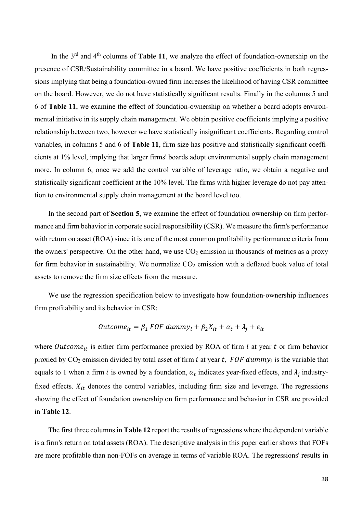In the 3<sup>rd</sup> and 4<sup>th</sup> columns of **Table 11**, we analyze the effect of foundation-ownership on the presence of CSR/Sustainability committee in a board. We have positive coefficients in both regressions implying that being a foundation-owned firm increases the likelihood of having CSR committee on the board. However, we do not have statistically significant results. Finally in the columns 5 and 6 of **Table 11**, we examine the effect of foundation-ownership on whether a board adopts environmental initiative in its supply chain management. We obtain positive coefficients implying a positive relationship between two, however we have statistically insignificant coefficients. Regarding control variables, in columns 5 and 6 of **Table 11**, firm size has positive and statistically significant coefficients at 1% level, implying that larger firms' boards adopt environmental supply chain management more. In column 6, once we add the control variable of leverage ratio, we obtain a negative and statistically significant coefficient at the 10% level. The firms with higher leverage do not pay attention to environmental supply chain management at the board level too.

In the second part of **Section 5**, we examine the effect of foundation ownership on firm performance and firm behavior in corporate social responsibility (CSR). We measure the firm's performance with return on asset (ROA) since it is one of the most common profitability performance criteria from the owners' perspective. On the other hand, we use  $CO<sub>2</sub>$  emission in thousands of metrics as a proxy for firm behavior in sustainability. We normalize  $CO<sub>2</sub>$  emission with a deflated book value of total assets to remove the firm size effects from the measure.

We use the regression specification below to investigate how foundation-ownership influences firm profitability and its behavior in CSR:

$$
Outcome_{it} = \beta_1 \, FOF \, dummy_i + \beta_2 X_{it} + \alpha_t + \lambda_j + \varepsilon_{it}
$$

where  $\textit{Outcome}_{it}$  is either firm performance proxied by ROA of firm  $i$  at year  $t$  or firm behavior proxied by CO<sub>2</sub> emission divided by total asset of firm *i* at year *t*, FOF dummy<sub>i</sub> is the variable that equals to 1 when a firm *i* is owned by a foundation,  $\alpha_t$  indicates year-fixed effects, and  $\lambda_j$  industryfixed effects.  $X_{it}$  denotes the control variables, including firm size and leverage. The regressions showing the effect of foundation ownership on firm performance and behavior in CSR are provided in **Table 12**.

The first three columns in **Table 12** report the results of regressions where the dependent variable is a firm's return on total assets (ROA). The descriptive analysis in this paper earlier shows that FOFs are more profitable than non-FOFs on average in terms of variable ROA. The regressions' results in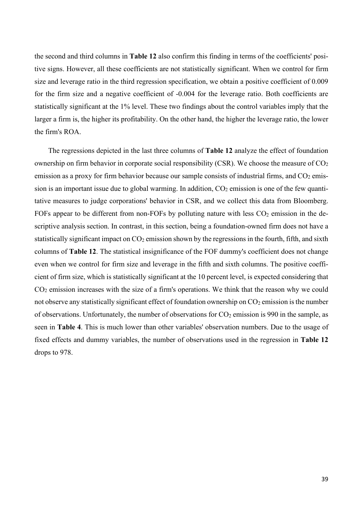the second and third columns in **Table 12** also confirm this finding in terms of the coefficients' positive signs. However, all these coefficients are not statistically significant. When we control for firm size and leverage ratio in the third regression specification, we obtain a positive coefficient of 0.009 for the firm size and a negative coefficient of -0.004 for the leverage ratio. Both coefficients are statistically significant at the 1% level. These two findings about the control variables imply that the larger a firm is, the higher its profitability. On the other hand, the higher the leverage ratio, the lower the firm's ROA.

The regressions depicted in the last three columns of **Table 12** analyze the effect of foundation ownership on firm behavior in corporate social responsibility (CSR). We choose the measure of  $CO<sub>2</sub>$ emission as a proxy for firm behavior because our sample consists of industrial firms, and  $CO<sub>2</sub>$  emission is an important issue due to global warming. In addition,  $CO<sub>2</sub>$  emission is one of the few quantitative measures to judge corporations' behavior in CSR, and we collect this data from Bloomberg. FOFs appear to be different from non-FOFs by polluting nature with less  $CO<sub>2</sub>$  emission in the descriptive analysis section. In contrast, in this section, being a foundation-owned firm does not have a statistically significant impact on  $CO<sub>2</sub>$  emission shown by the regressions in the fourth, fifth, and sixth columns of **Table 12**. The statistical insignificance of the FOF dummy's coefficient does not change even when we control for firm size and leverage in the fifth and sixth columns. The positive coefficient of firm size, which is statistically significant at the 10 percent level, is expected considering that CO2 emission increases with the size of a firm's operations. We think that the reason why we could not observe any statistically significant effect of foundation ownership on  $CO<sub>2</sub>$  emission is the number of observations. Unfortunately, the number of observations for  $CO<sub>2</sub>$  emission is 990 in the sample, as seen in **Table 4**. This is much lower than other variables' observation numbers. Due to the usage of fixed effects and dummy variables, the number of observations used in the regression in **Table 12** drops to 978.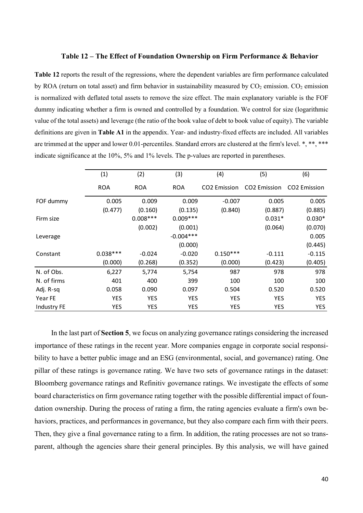### **Table 12 – The Effect of Foundation Ownership on Firm Performance & Behavior**

**Table 12** reports the result of the regressions, where the dependent variables are firm performance calculated by ROA (return on total asset) and firm behavior in sustainability measured by  $CO_2$  emission.  $CO_2$  emission is normalized with deflated total assets to remove the size effect. The main explanatory variable is the FOF dummy indicating whether a firm is owned and controlled by a foundation. We control for size (logarithmic value of the total assets) and leverage (the ratio of the book value of debt to book value of equity). The variable definitions are given in **Table A1** in the appendix. Year- and industry-fixed effects are included. All variables are trimmed at the upper and lower 0.01-percentiles. Standard errors are clustered at the firm's level. \*, \*\*, \*\*\* indicate significance at the 10%, 5% and 1% levels. The p-values are reported in parentheses.

|                    | (1)        | (2)        | (3)         | (4)                      | (5)                      | (6)                      |
|--------------------|------------|------------|-------------|--------------------------|--------------------------|--------------------------|
|                    | <b>ROA</b> | <b>ROA</b> | <b>ROA</b>  | CO <sub>2</sub> Emission | CO <sub>2</sub> Emission | CO <sub>2</sub> Emission |
| FOF dummy          | 0.005      | 0.009      | 0.009       | $-0.007$                 | 0.005                    | 0.005                    |
|                    | (0.477)    | (0.160)    | (0.135)     | (0.840)                  | (0.887)                  | (0.885)                  |
| Firm size          |            | $0.008***$ | $0.009***$  |                          | $0.031*$                 | $0.030*$                 |
|                    |            | (0.002)    | (0.001)     |                          | (0.064)                  | (0.070)                  |
| Leverage           |            |            | $-0.004***$ |                          |                          | 0.005                    |
|                    |            |            | (0.000)     |                          |                          | (0.445)                  |
| Constant           | $0.038***$ | $-0.024$   | $-0.020$    | $0.150***$               | $-0.111$                 | $-0.115$                 |
|                    | (0.000)    | (0.268)    | (0.352)     | (0.000)                  | (0.423)                  | (0.405)                  |
| N. of Obs.         | 6,227      | 5,774      | 5,754       | 987                      | 978                      | 978                      |
| N. of firms        | 401        | 400        | 399         | 100                      | 100                      | 100                      |
| Adj. R-sq          | 0.058      | 0.090      | 0.097       | 0.504                    | 0.520                    | 0.520                    |
| Year FE            | <b>YES</b> | YES        | <b>YES</b>  | <b>YES</b>               | <b>YES</b>               | <b>YES</b>               |
| <b>Industry FE</b> | <b>YES</b> | YES        | <b>YES</b>  | <b>YES</b>               | YES                      | <b>YES</b>               |

In the last part of **Section 5**, we focus on analyzing governance ratings considering the increased importance of these ratings in the recent year. More companies engage in corporate social responsibility to have a better public image and an ESG (environmental, social, and governance) rating. One pillar of these ratings is governance rating. We have two sets of governance ratings in the dataset: Bloomberg governance ratings and Refinitiv governance ratings. We investigate the effects of some board characteristics on firm governance rating together with the possible differential impact of foundation ownership. During the process of rating a firm, the rating agencies evaluate a firm's own behaviors, practices, and performances in governance, but they also compare each firm with their peers. Then, they give a final governance rating to a firm. In addition, the rating processes are not so transparent, although the agencies share their general principles. By this analysis, we will have gained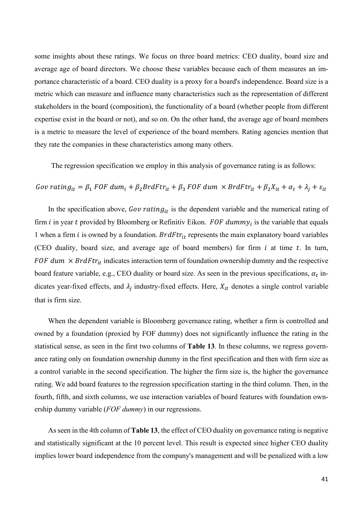some insights about these ratings. We focus on three board metrics: CEO duality, board size and average age of board directors. We choose these variables because each of them measures an importance characteristic of a board. CEO duality is a proxy for a board's independence. Board size is a metric which can measure and influence many characteristics such as the representation of different stakeholders in the board (composition), the functionality of a board (whether people from different expertise exist in the board or not), and so on. On the other hand, the average age of board members is a metric to measure the level of experience of the board members. Rating agencies mention that they rate the companies in these characteristics among many others.

The regression specification we employ in this analysis of governance rating is as follows:

# Gov rating<sub>it</sub> =  $\beta_1$  FOF dum<sub>i</sub> +  $\beta_2$ BrdFtr<sub>it</sub> +  $\beta_3$  FOF dum  $\times$  BrdFtr<sub>it</sub> +  $\beta_2 X_{it}$  +  $\alpha_t$  +  $\lambda_i$  +  $\varepsilon_{it}$

In the specification above, Gov rating<sub>it</sub> is the dependent variable and the numerical rating of firm *i* in year *t* provided by Bloomberg or Refinitiv Eikon. FOF dummy<sub>i</sub> is the variable that equals 1 when a firm *i* is owned by a foundation.  $BrdFtr_{it}$  represents the main explanatory board variables (CEO duality, board size, and average age of board members) for firm  $i$  at time  $t$ . In turn, FOF dum  $\times$  BrdFt $r_{it}$  indicates interaction term of foundation ownership dummy and the respective board feature variable, e.g., CEO duality or board size. As seen in the previous specifications,  $\alpha_t$  indicates year-fixed effects, and  $\lambda_i$  industry-fixed effects. Here,  $X_{it}$  denotes a single control variable that is firm size.

When the dependent variable is Bloomberg governance rating, whether a firm is controlled and owned by a foundation (proxied by FOF dummy) does not significantly influence the rating in the statistical sense, as seen in the first two columns of **Table 13**. In these columns, we regress governance rating only on foundation ownership dummy in the first specification and then with firm size as a control variable in the second specification. The higher the firm size is, the higher the governance rating. We add board features to the regression specification starting in the third column. Then, in the fourth, fifth, and sixth columns, we use interaction variables of board features with foundation ownership dummy variable (*FOF dummy*) in our regressions.

As seen in the 4th column of **Table 13**, the effect of CEO duality on governance rating is negative and statistically significant at the 10 percent level. This result is expected since higher CEO duality implies lower board independence from the company's management and will be penalized with a low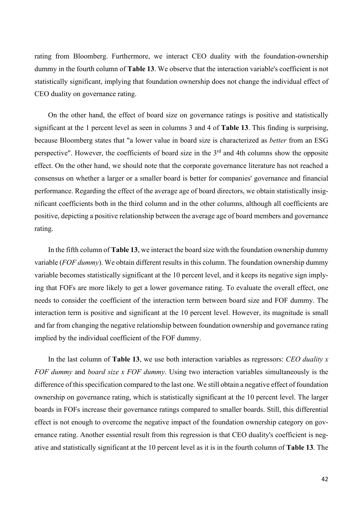rating from Bloomberg. Furthermore, we interact CEO duality with the foundation-ownership dummy in the fourth column of **Table 13**. We observe that the interaction variable's coefficient is not statistically significant, implying that foundation ownership does not change the individual effect of CEO duality on governance rating.

On the other hand, the effect of board size on governance ratings is positive and statistically significant at the 1 percent level as seen in columns 3 and 4 of **Table 13**. This finding is surprising, because Bloomberg states that "a lower value in board size is characterized as *better* from an ESG perspective". However, the coefficients of board size in the  $3<sup>rd</sup>$  and 4th columns show the opposite effect. On the other hand, we should note that the corporate governance literature has not reached a consensus on whether a larger or a smaller board is better for companies' governance and financial performance. Regarding the effect of the average age of board directors, we obtain statistically insignificant coefficients both in the third column and in the other columns, although all coefficients are positive, depicting a positive relationship between the average age of board members and governance rating.

In the fifth column of **Table 13**, we interact the board size with the foundation ownership dummy variable (*FOF dummy*). We obtain different results in this column. The foundation ownership dummy variable becomes statistically significant at the 10 percent level, and it keeps its negative sign implying that FOFs are more likely to get a lower governance rating. To evaluate the overall effect, one needs to consider the coefficient of the interaction term between board size and FOF dummy. The interaction term is positive and significant at the 10 percent level. However, its magnitude is small and far from changing the negative relationship between foundation ownership and governance rating implied by the individual coefficient of the FOF dummy.

In the last column of **Table 13**, we use both interaction variables as regressors: *CEO duality x FOF dummy* and *board size x FOF dummy*. Using two interaction variables simultaneously is the difference of this specification compared to the last one. We still obtain a negative effect of foundation ownership on governance rating, which is statistically significant at the 10 percent level. The larger boards in FOFs increase their governance ratings compared to smaller boards. Still, this differential effect is not enough to overcome the negative impact of the foundation ownership category on governance rating. Another essential result from this regression is that CEO duality's coefficient is negative and statistically significant at the 10 percent level as it is in the fourth column of **Table 13**. The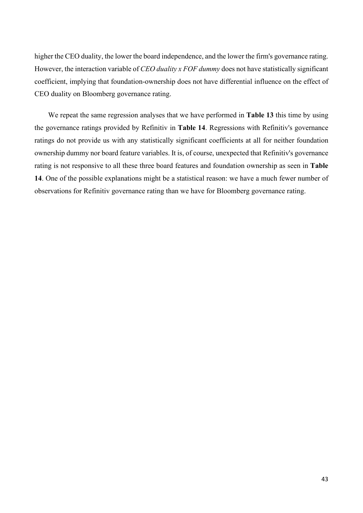higher the CEO duality, the lower the board independence, and the lower the firm's governance rating. However, the interaction variable of *CEO duality x FOF dummy* does not have statistically significant coefficient, implying that foundation-ownership does not have differential influence on the effect of CEO duality on Bloomberg governance rating.

We repeat the same regression analyses that we have performed in **Table 13** this time by using the governance ratings provided by Refinitiv in **Table 14**. Regressions with Refinitiv's governance ratings do not provide us with any statistically significant coefficients at all for neither foundation ownership dummy nor board feature variables. It is, of course, unexpected that Refinitiv's governance rating is not responsive to all these three board features and foundation ownership as seen in **Table 14**. One of the possible explanations might be a statistical reason: we have a much fewer number of observations for Refinitiv governance rating than we have for Bloomberg governance rating.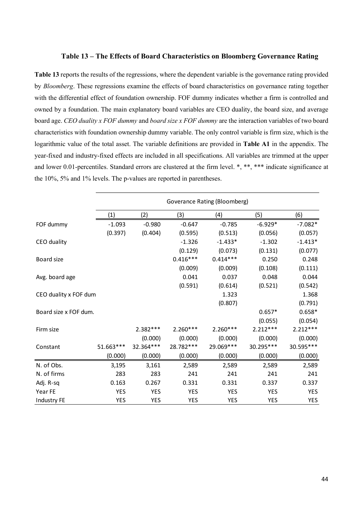### **Table 13 – The Effects of Board Characteristics on Bloomberg Governance Rating**

**Table 13** reports the results of the regressions, where the dependent variable is the governance rating provided by *Bloomberg*. These regressions examine the effects of board characteristics on governance rating together with the differential effect of foundation ownership. FOF dummy indicates whether a firm is controlled and owned by a foundation. The main explanatory board variables are CEO duality, the board size, and average board age. *CEO duality x FOF dummy* and *board size x FOF dummy* are the interaction variables of two board characteristics with foundation ownership dummy variable. The only control variable is firm size, which is the logarithmic value of the total asset. The variable definitions are provided in **Table A1** in the appendix. The year-fixed and industry-fixed effects are included in all specifications. All variables are trimmed at the upper and lower 0.01-percentiles. Standard errors are clustered at the firm level. \*, \*\*, \*\*\* indicate significance at the 10%, 5% and 1% levels. The p-values are reported in parentheses.

|                       | Goverance Rating (Bloomberg) |            |            |            |            |            |  |
|-----------------------|------------------------------|------------|------------|------------|------------|------------|--|
|                       | (1)                          | (2)        | (3)        | (4)        | (5)        | (6)        |  |
| FOF dummy             | $-1.093$                     | $-0.980$   | $-0.647$   | $-0.785$   | $-6.929*$  | $-7.082*$  |  |
|                       | (0.397)                      | (0.404)    | (0.595)    | (0.513)    | (0.056)    | (0.057)    |  |
| CEO duality           |                              |            | $-1.326$   | $-1.433*$  | $-1.302$   | $-1.413*$  |  |
|                       |                              |            | (0.129)    | (0.073)    | (0.131)    | (0.077)    |  |
| Board size            |                              |            | $0.416***$ | $0.414***$ | 0.250      | 0.248      |  |
|                       |                              |            | (0.009)    | (0.009)    | (0.108)    | (0.111)    |  |
| Avg. board age        |                              |            | 0.041      | 0.037      | 0.048      | 0.044      |  |
|                       |                              |            | (0.591)    | (0.614)    | (0.521)    | (0.542)    |  |
| CEO duality x FOF dum |                              |            |            | 1.323      |            | 1.368      |  |
|                       |                              |            |            | (0.807)    |            | (0.791)    |  |
| Board size x FOF dum. |                              |            |            |            | $0.657*$   | $0.658*$   |  |
|                       |                              |            |            |            | (0.055)    | (0.054)    |  |
| Firm size             |                              | $2.382***$ | $2.260***$ | $2.260***$ | $2.212***$ | $2.212***$ |  |
|                       |                              | (0.000)    | (0.000)    | (0.000)    | (0.000)    | (0.000)    |  |
| Constant              | 51.663***                    | 32.364***  | 28.782 *** | 29.069 *** | 30.295***  | 30.595***  |  |
|                       | (0.000)                      | (0.000)    | (0.000)    | (0.000)    | (0.000)    | (0.000)    |  |
| N. of Obs.            | 3,195                        | 3,161      | 2,589      | 2,589      | 2,589      | 2,589      |  |
| N. of firms           | 283                          | 283        | 241        | 241        | 241        | 241        |  |
| Adj. R-sq             | 0.163                        | 0.267      | 0.331      | 0.331      | 0.337      | 0.337      |  |
| Year FE               | <b>YES</b>                   | <b>YES</b> | <b>YES</b> | <b>YES</b> | <b>YES</b> | <b>YES</b> |  |
| <b>Industry FE</b>    | <b>YES</b>                   | <b>YES</b> | <b>YES</b> | <b>YES</b> | <b>YES</b> | YES        |  |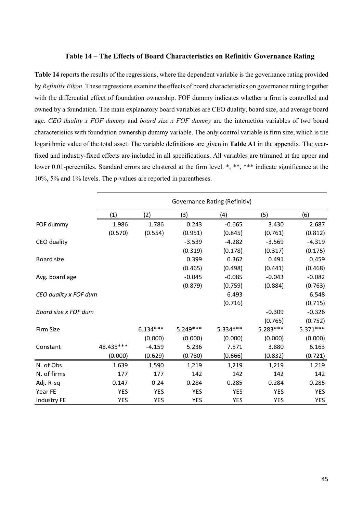### **Table 14 – The Effects of Board Characteristics on Refinitiv Governance Rating**

**Table 14** reports the results of the regressions, where the dependent variable is the governance rating provided by *Refinitiv Eikon*. These regressions examine the effects of board characteristics on governance rating together with the differential effect of foundation ownership. FOF dummy indicates whether a firm is controlled and owned by a foundation. The main explanatory board variables are CEO duality, board size, and average board age. *CEO duality x FOF dummy* and *board size x FOF dummy* are the interaction variables of two board characteristics with foundation ownership dummy variable. The only control variable is firm size, which is the logarithmic value of the total asset. The variable definitions are given in **Table A1** in the appendix. The yearfixed and industry-fixed effects are included in all specifications. All variables are trimmed at the upper and lower 0.01-percentiles. Standard errors are clustered at the firm level. \*, \*\*, \*\*\* indicate significance at the 10%, 5% and 1% levels. The p-values are reported in parentheses.

|                       | Governance Rating (Refinitiv) |            |            |            |            |            |
|-----------------------|-------------------------------|------------|------------|------------|------------|------------|
|                       | (1)                           | (2)        | (3)        | (4)        | (5)        | (6)        |
| FOF dummy             | 1.986                         | 1.786      | 0.243      | $-0.665$   | 3.430      | 2.687      |
|                       | (0.570)                       | (0.554)    | (0.951)    | (0.845)    | (0.761)    | (0.812)    |
| CEO duality           |                               |            | $-3.539$   | $-4.282$   | $-3.569$   | $-4.319$   |
|                       |                               |            | (0.319)    | (0.178)    | (0.317)    | (0.175)    |
| Board size            |                               |            | 0.399      | 0.362      | 0.491      | 0.459      |
|                       |                               |            | (0.465)    | (0.498)    | (0.441)    | (0.468)    |
| Avg. board age        |                               |            | $-0.045$   | $-0.085$   | $-0.043$   | $-0.082$   |
|                       |                               |            | (0.879)    | (0.759)    | (0.884)    | (0.763)    |
| CEO duality x FOF dum |                               |            |            | 6.493      |            | 6.548      |
|                       |                               |            |            | (0.716)    |            | (0.715)    |
| Board size x FOF dum  |                               |            |            |            | $-0.309$   | $-0.326$   |
|                       |                               |            |            |            | (0.765)    | (0.752)    |
| Firm Size             |                               | $6.134***$ | $5.249***$ | $5.334***$ | $5.283***$ | $5.371***$ |
|                       |                               | (0.000)    | (0.000)    | (0.000)    | (0.000)    | (0.000)    |
| Constant              | 48.435***                     | $-4.159$   | 5.236      | 7.571      | 3.880      | 6.163      |
|                       | (0.000)                       | (0.629)    | (0.780)    | (0.666)    | (0.832)    | (0.721)    |
| N. of Obs.            | 1,639                         | 1,590      | 1,219      | 1,219      | 1,219      | 1,219      |
| N. of firms           | 177                           | 177        | 142        | 142        | 142        | 142        |
| Adj. R-sq             | 0.147                         | 0.24       | 0.284      | 0.285      | 0.284      | 0.285      |
| Year FE               | <b>YES</b>                    | <b>YES</b> | <b>YES</b> | <b>YES</b> | <b>YES</b> | <b>YES</b> |
| Industry FE           | <b>YES</b>                    | <b>YES</b> | <b>YES</b> | <b>YES</b> | <b>YES</b> | <b>YES</b> |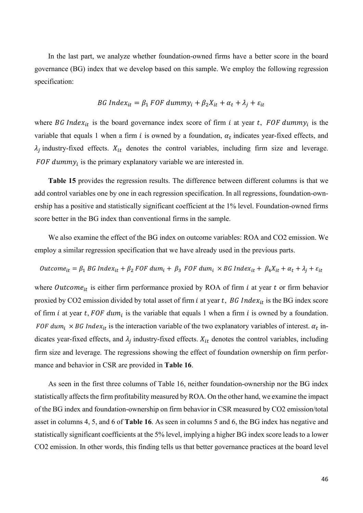In the last part, we analyze whether foundation-owned firms have a better score in the board governance (BG) index that we develop based on this sample. We employ the following regression specification:

$$
BG Index_{it} = \beta_1 FOF dummy_i + \beta_2 X_{it} + \alpha_t + \lambda_j + \varepsilon_{it}
$$

where BG Index<sub>it</sub> is the board governance index score of firm *i* at year *t*, FOF dummy<sub>i</sub> is the variable that equals 1 when a firm *i* is owned by a foundation,  $\alpha_t$  indicates year-fixed effects, and  $\lambda_j$  industry-fixed effects.  $X_{it}$  denotes the control variables, including firm size and leverage. FOF dummy<sub>i</sub> is the primary explanatory variable we are interested in.

**Table 15** provides the regression results. The difference between different columns is that we add control variables one by one in each regression specification. In all regressions, foundation-ownership has a positive and statistically significant coefficient at the 1% level. Foundation-owned firms score better in the BG index than conventional firms in the sample.

We also examine the effect of the BG index on outcome variables: ROA and CO2 emission. We employ a similar regression specification that we have already used in the previous parts.

$$
Outcome_{it} = \beta_1 BG Index_{it} + \beta_2 FOR
$$
 
$$
dum_i + \beta_3 FOR
$$
 
$$
dum_i \times BGIndex_{it} + \beta_4X_{it} + \alpha_t + \lambda_j + \varepsilon_{it}
$$

where Outcome<sub>it</sub> is either firm performance proxied by ROA of firm  $i$  at year  $t$  or firm behavior proxied by CO2 emission divided by total asset of firm *i* at year  $t$ , BG Index<sub>it</sub> is the BG index score of firm *i* at year *t*, FOF dum<sub>i</sub> is the variable that equals 1 when a firm *i* is owned by a foundation. FOF dum<sub>i</sub>  $\times$  BG Index<sub>it</sub> is the interaction variable of the two explanatory variables of interest.  $\alpha_t$  indicates year-fixed effects, and  $\lambda_j$  industry-fixed effects.  $X_{it}$  denotes the control variables, including firm size and leverage. The regressions showing the effect of foundation ownership on firm performance and behavior in CSR are provided in **Table 16**.

As seen in the first three columns of Table 16, neither foundation-ownership nor the BG index statistically affects the firm profitability measured by ROA. On the other hand, we examine the impact of the BG index and foundation-ownership on firm behavior in CSR measured by CO2 emission/total asset in columns 4, 5, and 6 of **Table 16**. As seen in columns 5 and 6, the BG index has negative and statistically significant coefficients at the 5% level, implying a higher BG index score leads to a lower CO2 emission. In other words, this finding tells us that better governance practices at the board level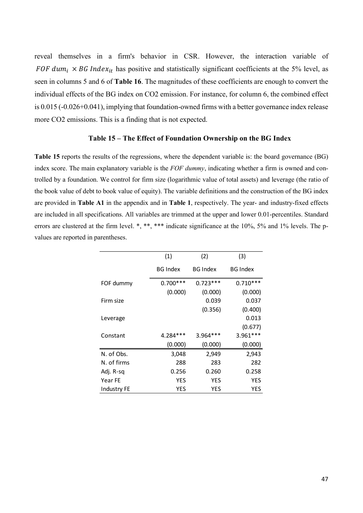reveal themselves in a firm's behavior in CSR. However, the interaction variable of FOF dum<sub>i</sub>  $\times$  BG Index<sub>it</sub> has positive and statistically significant coefficients at the 5% level, as seen in columns 5 and 6 of **Table 16**. The magnitudes of these coefficients are enough to convert the individual effects of the BG index on CO2 emission. For instance, for column 6, the combined effect is 0.015 (-0.026+0.041), implying that foundation-owned firms with a better governance index release more CO2 emissions. This is a finding that is not expected.

### **Table 15 – The Effect of Foundation Ownership on the BG Index**

**Table 15** reports the results of the regressions, where the dependent variable is: the board governance (BG) index score. The main explanatory variable is the *FOF dummy*, indicating whether a firm is owned and controlled by a foundation. We control for firm size (logarithmic value of total assets) and leverage (the ratio of the book value of debt to book value of equity). The variable definitions and the construction of the BG index are provided in **Table A1** in the appendix and in **Table 1**, respectively. The year- and industry-fixed effects are included in all specifications. All variables are trimmed at the upper and lower 0.01-percentiles. Standard errors are clustered at the firm level. \*, \*\*, \*\*\* indicate significance at the 10%, 5% and 1% levels. The pvalues are reported in parentheses.

|             | (1)             | (2)             | (3)             |
|-------------|-----------------|-----------------|-----------------|
|             | <b>BG Index</b> | <b>BG Index</b> | <b>BG</b> Index |
| FOF dummy   | $0.700***$      | $0.723***$      | $0.710***$      |
|             | (0.000)         | (0.000)         | (0.000)         |
| Firm size   |                 | 0.039           | 0.037           |
|             |                 | (0.356)         | (0.400)         |
| Leverage    |                 |                 | 0.013           |
|             |                 |                 | (0.677)         |
| Constant    | $4.284***$      | $3.964***$      | $3.961***$      |
|             | (0.000)         | (0.000)         | (0.000)         |
| N. of Obs.  | 3,048           | 2,949           | 2,943           |
| N. of firms | 288             | 283             | 282             |
| Adj. R-sq   | 0.256           | 0.260           | 0.258           |
| Year FE     | <b>YES</b>      | YES             | <b>YES</b>      |
| Industry FE | YES             | YES             | YES             |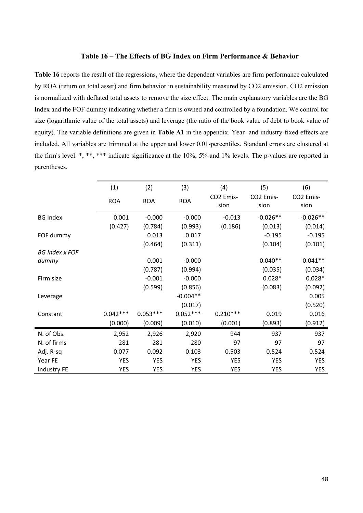### **Table 16 – The Effects of BG Index on Firm Performance & Behavior**

**Table 16** reports the result of the regressions, where the dependent variables are firm performance calculated by ROA (return on total asset) and firm behavior in sustainability measured by CO2 emission. CO2 emission is normalized with deflated total assets to remove the size effect. The main explanatory variables are the BG Index and the FOF dummy indicating whether a firm is owned and controlled by a foundation. We control for size (logarithmic value of the total assets) and leverage (the ratio of the book value of debt to book value of equity). The variable definitions are given in **Table A1** in the appendix. Year- and industry-fixed effects are included. All variables are trimmed at the upper and lower 0.01-percentiles. Standard errors are clustered at the firm's level. \*, \*\*, \*\*\* indicate significance at the 10%, 5% and 1% levels. The p-values are reported in parentheses.

|                       | (1)        | (2)        | (3)        | (4)               | (5)               | (6)               |
|-----------------------|------------|------------|------------|-------------------|-------------------|-------------------|
|                       | <b>ROA</b> | <b>ROA</b> | <b>ROA</b> | CO2 Emis-<br>sion | CO2 Emis-<br>sion | CO2 Emis-<br>sion |
| <b>BG Index</b>       | 0.001      | $-0.000$   | $-0.000$   | $-0.013$          | $-0.026**$        | $-0.026**$        |
|                       | (0.427)    | (0.784)    | (0.993)    | (0.186)           | (0.013)           | (0.014)           |
| FOF dummy             |            | 0.013      | 0.017      |                   | $-0.195$          | $-0.195$          |
|                       |            | (0.464)    | (0.311)    |                   | (0.104)           | (0.101)           |
| <b>BG Index x FOF</b> |            |            |            |                   |                   |                   |
| dummy                 |            | 0.001      | $-0.000$   |                   | $0.040**$         | $0.041**$         |
|                       |            | (0.787)    | (0.994)    |                   | (0.035)           | (0.034)           |
| Firm size             |            | $-0.001$   | $-0.000$   |                   | $0.028*$          | $0.028*$          |
|                       |            | (0.599)    | (0.856)    |                   | (0.083)           | (0.092)           |
| Leverage              |            |            | $-0.004**$ |                   |                   | 0.005             |
|                       |            |            | (0.017)    |                   |                   | (0.520)           |
| Constant              | $0.042***$ | $0.053***$ | $0.052***$ | $0.210***$        | 0.019             | 0.016             |
|                       | (0.000)    | (0.009)    | (0.010)    | (0.001)           | (0.893)           | (0.912)           |
| N. of Obs.            | 2,952      | 2,926      | 2,920      | 944               | 937               | 937               |
| N. of firms           | 281        | 281        | 280        | 97                | 97                | 97                |
| Adj. R-sq             | 0.077      | 0.092      | 0.103      | 0.503             | 0.524             | 0.524             |
| Year FE               | <b>YES</b> | <b>YES</b> | <b>YES</b> | <b>YES</b>        | <b>YES</b>        | <b>YES</b>        |
| <b>Industry FE</b>    | <b>YES</b> | <b>YES</b> | <b>YES</b> | <b>YES</b>        | <b>YES</b>        | <b>YES</b>        |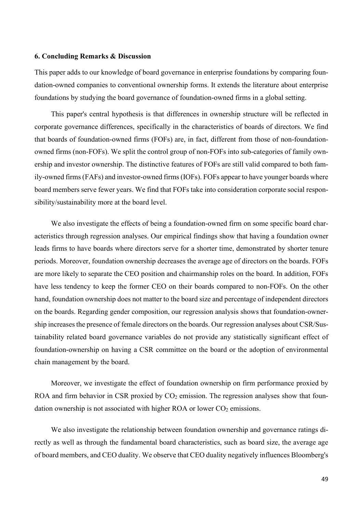### **6. Concluding Remarks & Discussion**

This paper adds to our knowledge of board governance in enterprise foundations by comparing foundation-owned companies to conventional ownership forms. It extends the literature about enterprise foundations by studying the board governance of foundation-owned firms in a global setting.

This paper's central hypothesis is that differences in ownership structure will be reflected in corporate governance differences, specifically in the characteristics of boards of directors. We find that boards of foundation-owned firms (FOFs) are, in fact, different from those of non-foundationowned firms (non-FOFs). We split the control group of non-FOFs into sub-categories of family ownership and investor ownership. The distinctive features of FOFs are still valid compared to both family-owned firms (FAFs) and investor-owned firms (IOFs). FOFs appear to have younger boards where board members serve fewer years. We find that FOFs take into consideration corporate social responsibility/sustainability more at the board level.

We also investigate the effects of being a foundation-owned firm on some specific board characteristics through regression analyses. Our empirical findings show that having a foundation owner leads firms to have boards where directors serve for a shorter time, demonstrated by shorter tenure periods. Moreover, foundation ownership decreases the average age of directors on the boards. FOFs are more likely to separate the CEO position and chairmanship roles on the board. In addition, FOFs have less tendency to keep the former CEO on their boards compared to non-FOFs. On the other hand, foundation ownership does not matter to the board size and percentage of independent directors on the boards. Regarding gender composition, our regression analysis shows that foundation-ownership increases the presence of female directors on the boards. Our regression analyses about CSR/Sustainability related board governance variables do not provide any statistically significant effect of foundation-ownership on having a CSR committee on the board or the adoption of environmental chain management by the board.

Moreover, we investigate the effect of foundation ownership on firm performance proxied by ROA and firm behavior in CSR proxied by  $CO<sub>2</sub>$  emission. The regression analyses show that foundation ownership is not associated with higher ROA or lower  $CO<sub>2</sub>$  emissions.

We also investigate the relationship between foundation ownership and governance ratings directly as well as through the fundamental board characteristics, such as board size, the average age of board members, and CEO duality. We observe that CEO duality negatively influences Bloomberg's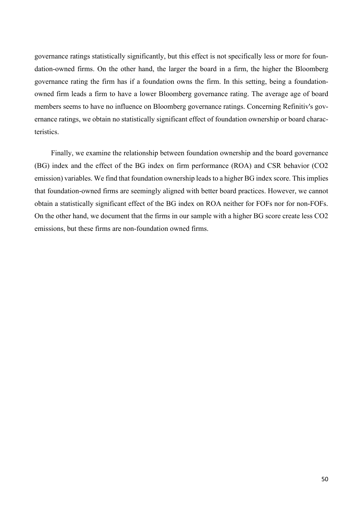governance ratings statistically significantly, but this effect is not specifically less or more for foundation-owned firms. On the other hand, the larger the board in a firm, the higher the Bloomberg governance rating the firm has if a foundation owns the firm. In this setting, being a foundationowned firm leads a firm to have a lower Bloomberg governance rating. The average age of board members seems to have no influence on Bloomberg governance ratings. Concerning Refinitiv's governance ratings, we obtain no statistically significant effect of foundation ownership or board characteristics.

Finally, we examine the relationship between foundation ownership and the board governance (BG) index and the effect of the BG index on firm performance (ROA) and CSR behavior (CO2 emission) variables. We find that foundation ownership leads to a higher BG index score. This implies that foundation-owned firms are seemingly aligned with better board practices. However, we cannot obtain a statistically significant effect of the BG index on ROA neither for FOFs nor for non-FOFs. On the other hand, we document that the firms in our sample with a higher BG score create less CO2 emissions, but these firms are non-foundation owned firms.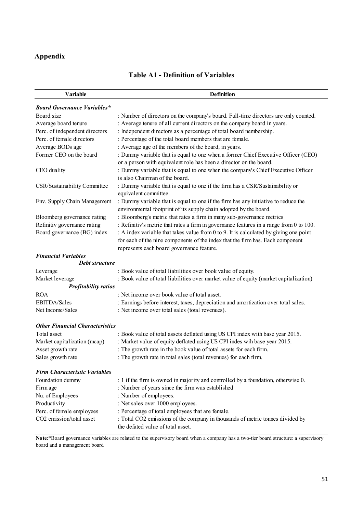### **Appendix**

| <b>Table A1 - Definition of Variables</b> |  |  |  |
|-------------------------------------------|--|--|--|
|-------------------------------------------|--|--|--|

| <b>Variable</b>                        | <b>Definition</b>                                                                       |
|----------------------------------------|-----------------------------------------------------------------------------------------|
| <b>Board Governance Variables*</b>     |                                                                                         |
| Board size                             | : Number of directors on the company's board. Full-time directors are only counted.     |
| Average board tenure                   | : Average tenure of all current directors on the company board in years.                |
| Perc. of independent directors         | : Independent directors as a percentage of total board nembership.                      |
| Perc. of female directors              | : Percentage of the total board members that are female.                                |
| Average BODs age                       | : Average age of the members of the board, in years.                                    |
| Former CEO on the board                | : Dummy variable that is equal to one when a former Chief Executive Officer (CEO)       |
|                                        | or a person with equivalent role has been a director on the board.                      |
| CEO duality                            | : Dummy variable that is equal to one when the company's Chief Executive Officer        |
|                                        | is also Chairman of the board.                                                          |
| CSR/Sustainability Committee           | : Dummy variable that is equal to one if the firm has a CSR/Sustainability or           |
|                                        | equivalent committee.                                                                   |
| Env. Supply Chain Management           | : Dummy variable that is equal to one if the firm has any initiative to reduce the      |
|                                        | environmental footprint of its supply chain adopted by the board.                       |
| Bloomberg governance rating            | : Bloomberg's metric that rates a firm in many sub-governance metrics                   |
| Refinitiv governance rating            | : Refinitiv's metric that rates a firm in governance features in a range from 0 to 100. |
| Board governance (BG) index            | : A index variable that takes value from 0 to 9. It is calculated by giving one point   |
|                                        | for each of the nine components of the index that the firm has. Each component          |
|                                        | represents each board governance feature.                                               |
| <b>Financial Variables</b>             |                                                                                         |
| Debt structure                         |                                                                                         |
| Leverage                               | : Book value of total liabilities over book value of equity.                            |
| Market leverage                        | : Book value of total liabilities over market value of equity (market capitalization)   |
| <b>Profitability ratios</b>            |                                                                                         |
| <b>ROA</b>                             | : Net income over book value of total asset.                                            |
| EBITDA/Sales                           | : Earnings before interest, taxes, depreciation and amortization over total sales.      |
| Net Income/Sales                       | : Net income over total sales (total revenues).                                         |
|                                        |                                                                                         |
| <b>Other Financial Characteristics</b> |                                                                                         |
| Total asset                            | : Book value of total assets deflated using US CPI index with base year 2015.           |
| Market capitalization (mcap)           | : Market value of equity deflated using US CPI indes wih base year 2015.                |
| Asset growth rate                      | : The growth rate in the book value of total assets for each firm.                      |
| Sales growth rate                      | : The growth rate in total sales (total revenues) for each firm.                        |
| <b>Firm Characteristic Variables</b>   |                                                                                         |
| Foundation dummy                       | : 1 if the firm is owned in majority and controlled by a foundation, otherwise 0.       |
| Firm age                               | : Number of years since the firm was established                                        |
| Nu. of Employees                       | : Number of employees.                                                                  |
| Productivity                           | : Net sales over 1000 employees.                                                        |
| Perc. of female employees              | : Percentage of total employees that are female.                                        |
| CO2 emission/total asset               | : Total CO2 emissions of the company in thousands of metric tonnes divided by           |
|                                        | the defated value of total asset.                                                       |
|                                        |                                                                                         |

**Note:**\*Board governance variables are related to the supervisory board when a company has a two-tier board structure: a supervisory board and a management board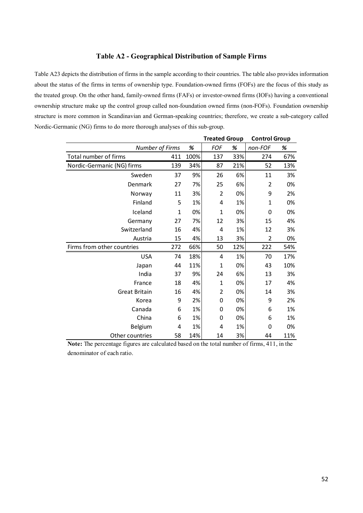### **Table A2 - Geographical Distribution of Sample Firms**

Table A23 depicts the distribution of firms in the sample according to their countries. The table also provides information about the status of the firms in terms of ownership type. Foundation-owned firms (FOFs) are the focus of this study as the treated group. On the other hand, family-owned firms (FAFs) or investor-owned firms (IOFs) having a conventional ownership structure make up the control group called non-foundation owned firms (non-FOFs). Foundation ownership structure is more common in Scandinavian and German-speaking countries; therefore, we create a sub-category called Nordic-Germanic (NG) firms to do more thorough analyses of this sub-group.

|                            |     |      | <b>Treated Group</b> |     | <b>Control Group</b> |     |
|----------------------------|-----|------|----------------------|-----|----------------------|-----|
| <b>Number of Firms</b>     |     | %    | FOF                  | %   | non-FOF              | %   |
| Total number of firms      | 411 | 100% | 137                  | 33% | 274                  | 67% |
| Nordic-Germanic (NG) firms | 139 | 34%  | 87                   | 21% | 52                   | 13% |
| Sweden                     | 37  | 9%   | 26                   | 6%  | 11                   | 3%  |
| Denmark                    | 27  | 7%   | 25                   | 6%  | $\overline{2}$       | 0%  |
| Norway                     | 11  | 3%   | $\overline{2}$       | 0%  | 9                    | 2%  |
| Finland                    | 5   | 1%   | 4                    | 1%  | 1                    | 0%  |
| Iceland                    | 1   | 0%   | $\mathbf 1$          | 0%  | 0                    | 0%  |
| Germany                    | 27  | 7%   | 12                   | 3%  | 15                   | 4%  |
| Switzerland                | 16  | 4%   | 4                    | 1%  | 12                   | 3%  |
| Austria                    | 15  | 4%   | 13                   | 3%  | 2                    | 0%  |
| Firms from other countries | 272 | 66%  | 50                   | 12% | 222                  | 54% |
| <b>USA</b>                 | 74  | 18%  | 4                    | 1%  | 70                   | 17% |
| Japan                      | 44  | 11%  | 1                    | 0%  | 43                   | 10% |
| India                      | 37  | 9%   | 24                   | 6%  | 13                   | 3%  |
| France                     | 18  | 4%   | $\mathbf 1$          | 0%  | 17                   | 4%  |
| <b>Great Britain</b>       | 16  | 4%   | $\overline{2}$       | 0%  | 14                   | 3%  |
| Korea                      | 9   | 2%   | 0                    | 0%  | 9                    | 2%  |
| Canada                     | 6   | 1%   | 0                    | 0%  | 6                    | 1%  |
| China                      | 6   | 1%   | 0                    | 0%  | 6                    | 1%  |
| Belgium                    | 4   | 1%   | 4                    | 1%  | 0                    | 0%  |
| Other countries            | 58  | 14%  | 14                   | 3%  | 44                   | 11% |

**Note:** The percentage figures are calculated based on the total number of firms, 411, in the denominator of each ratio.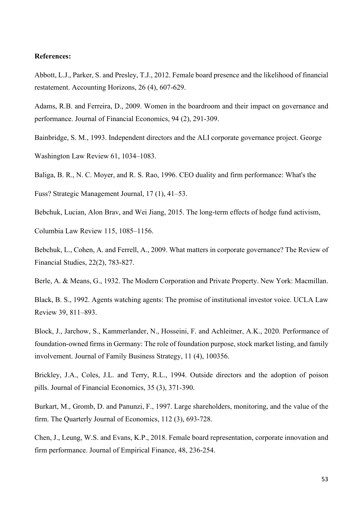### **References:**

Abbott, L.J., Parker, S. and Presley, T.J., 2012. Female board presence and the likelihood of financial restatement. Accounting Horizons, 26 (4), 607-629.

Adams, R.B. and Ferreira, D., 2009. Women in the boardroom and their impact on governance and performance. Journal of Financial Economics, 94 (2), 291-309.

Bainbridge, S. M., 1993. Independent directors and the ALI corporate governance project. George Washington Law Review 61, 1034–1083.

Baliga, B. R., N. C. Moyer, and R. S. Rao, 1996. CEO duality and firm performance: What's the

Fuss? Strategic Management Journal, 17 (1), 41–53.

Bebchuk, Lucian, Alon Brav, and Wei Jiang, 2015. The long-term effects of hedge fund activism,

Columbia Law Review 115, 1085–1156.

Bebchuk, L., Cohen, A. and Ferrell, A., 2009. What matters in corporate governance? The Review of Financial Studies, 22(2), 783-827.

Berle, A. & Means, G., 1932. The Modern Corporation and Private Property. New York: Macmillan.

Black, B. S., 1992. Agents watching agents: The promise of institutional investor voice. UCLA Law Review 39, 811–893.

Block, J., Jarchow, S., Kammerlander, N., Hosseini, F. and Achleitner, A.K., 2020. Performance of foundation-owned firms in Germany: The role of foundation purpose, stock market listing, and family involvement. Journal of Family Business Strategy, 11 (4), 100356.

Brickley, J.A., Coles, J.L. and Terry, R.L., 1994. Outside directors and the adoption of poison pills. Journal of Financial Economics, 35 (3), 371-390.

Burkart, M., Gromb, D. and Panunzi, F., 1997. Large shareholders, monitoring, and the value of the firm. The Quarterly Journal of Economics, 112 (3), 693-728.

Chen, J., Leung, W.S. and Evans, K.P., 2018. Female board representation, corporate innovation and firm performance. Journal of Empirical Finance, 48, 236-254.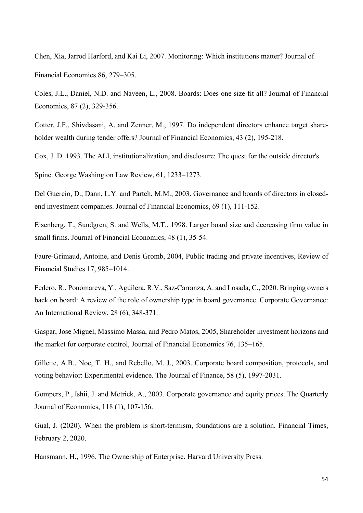Chen, Xia, Jarrod Harford, and Kai Li, 2007. Monitoring: Which institutions matter? Journal of Financial Economics 86, 279–305.

Coles, J.L., Daniel, N.D. and Naveen, L., 2008. Boards: Does one size fit all? Journal of Financial Economics, 87 (2), 329-356.

Cotter, J.F., Shivdasani, A. and Zenner, M., 1997. Do independent directors enhance target shareholder wealth during tender offers? Journal of Financial Economics, 43 (2), 195-218.

Cox, J. D. 1993. The ALI, institutionalization, and disclosure: The quest for the outside director's

Spine. George Washington Law Review, 61, 1233–1273.

Del Guercio, D., Dann, L.Y. and Partch, M.M., 2003. Governance and boards of directors in closedend investment companies. Journal of Financial Economics, 69 (1), 111-152.

Eisenberg, T., Sundgren, S. and Wells, M.T., 1998. Larger board size and decreasing firm value in small firms. Journal of Financial Economics, 48 (1), 35-54.

Faure-Grimaud, Antoine, and Denis Gromb, 2004, Public trading and private incentives, Review of Financial Studies 17, 985–1014.

Federo, R., Ponomareva, Y., Aguilera, R.V., Saz‐Carranza, A. and Losada, C., 2020. Bringing owners back on board: A review of the role of ownership type in board governance. Corporate Governance: An International Review, 28 (6), 348-371.

Gaspar, Jose Miguel, Massimo Massa, and Pedro Matos, 2005, Shareholder investment horizons and the market for corporate control, Journal of Financial Economics 76, 135–165.

Gillette, A.B., Noe, T. H., and Rebello, M. J., 2003. Corporate board composition, protocols, and voting behavior: Experimental evidence. The Journal of Finance, 58 (5), 1997-2031.

Gompers, P., Ishii, J. and Metrick, A., 2003. Corporate governance and equity prices. The Quarterly Journal of Economics, 118 (1), 107-156.

Gual, J. (2020). When the problem is short-termism, foundations are a solution. Financial Times, February 2, 2020.

Hansmann, H., 1996. The Ownership of Enterprise. Harvard University Press.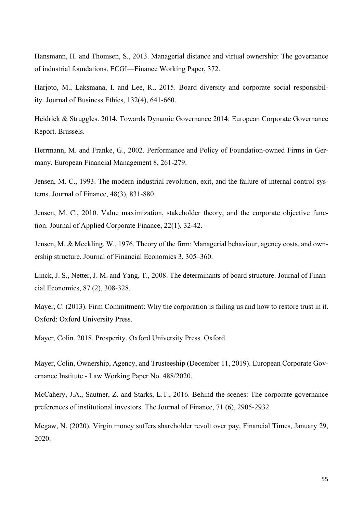Hansmann, H. and Thomsen, S., 2013. Managerial distance and virtual ownership: The governance of industrial foundations. ECGI—Finance Working Paper, 372.

Harjoto, M., Laksmana, I. and Lee, R., 2015. Board diversity and corporate social responsibility. Journal of Business Ethics, 132(4), 641-660.

Heidrick & Struggles. 2014. Towards Dynamic Governance 2014: European Corporate Governance Report. Brussels.

Herrmann, M. and Franke, G., 2002. Performance and Policy of Foundation-owned Firms in Germany. European Financial Management 8, 261-279.

Jensen, M. C., 1993. The modern industrial revolution, exit, and the failure of internal control systems. Journal of Finance, 48(3), 831-880.

Jensen, M. C., 2010. Value maximization, stakeholder theory, and the corporate objective function. Journal of Applied Corporate Finance, 22(1), 32-42.

Jensen, M. & Meckling, W., 1976. Theory of the firm: Managerial behaviour, agency costs, and ownership structure. Journal of Financial Economics 3, 305–360.

Linck, J. S., Netter, J. M. and Yang, T., 2008. The determinants of board structure. Journal of Financial Economics, 87 (2), 308-328.

Mayer, C. (2013). Firm Commitment: Why the corporation is failing us and how to restore trust in it. Oxford: Oxford University Press.

Mayer, Colin. 2018. Prosperity. Oxford University Press. Oxford.

Mayer, Colin, Ownership, Agency, and Trusteeship (December 11, 2019). European Corporate Governance Institute - Law Working Paper No. 488/2020.

McCahery, J.A., Sautner, Z. and Starks, L.T., 2016. Behind the scenes: The corporate governance preferences of institutional investors. The Journal of Finance, 71 (6), 2905-2932.

Megaw, N. (2020). Virgin money suffers shareholder revolt over pay, Financial Times, January 29, 2020.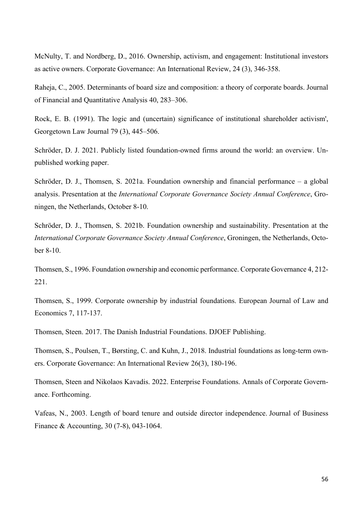McNulty, T. and Nordberg, D., 2016. Ownership, activism, and engagement: Institutional investors as active owners. Corporate Governance: An International Review, 24 (3), 346-358.

Raheja, C., 2005. Determinants of board size and composition: a theory of corporate boards. Journal of Financial and Quantitative Analysis 40, 283–306.

Rock, E. B. (1991). The logic and (uncertain) significance of institutional shareholder activism', Georgetown Law Journal 79 (3), 445–506.

Schröder, D. J. 2021. Publicly listed foundation-owned firms around the world: an overview. Unpublished working paper.

Schröder, D. J., Thomsen, S. 2021a. Foundation ownership and financial performance – a global analysis. Presentation at the *International Corporate Governance Society Annual Conference*, Groningen, the Netherlands, October 8-10.

Schröder, D. J., Thomsen, S. 2021b. Foundation ownership and sustainability. Presentation at the *International Corporate Governance Society Annual Conference*, Groningen, the Netherlands, October 8-10.

Thomsen, S., 1996. Foundation ownership and economic performance. Corporate Governance 4, 212- 221.

Thomsen, S., 1999. Corporate ownership by industrial foundations. European Journal of Law and Economics 7, 117-137.

Thomsen, Steen. 2017. The Danish Industrial Foundations. DJOEF Publishing.

Thomsen, S., Poulsen, T., Børsting, C. and Kuhn, J., 2018. Industrial foundations as long‐term owners. Corporate Governance: An International Review 26(3), 180-196.

Thomsen, Steen and Nikolaos Kavadis. 2022. Enterprise Foundations. Annals of Corporate Governance. Forthcoming.

Vafeas, N., 2003. Length of board tenure and outside director independence. Journal of Business Finance & Accounting, 30 (7‐8), 043-1064.